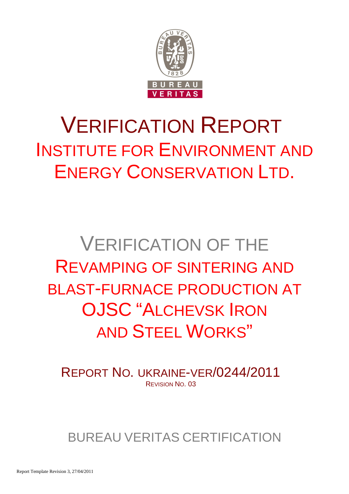

# VERIFICATION REPORT INSTITUTE FOR ENVIRONMENT AND ENERGY CONSERVATION LTD.

# VERIFICATION OF THE REVAMPING OF SINTERING AND BLAST-FURNACE PRODUCTION AT OJSC "ALCHEVSK IRON AND STEEL WORKS"

REPORT NO. UKRAINE-VER/0244/2011 REVISION NO. 03

BUREAU VERITAS CERTIFICATION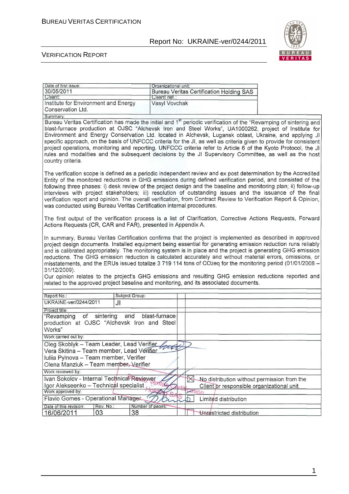

#### VERIFICATION REPORT

| Date of first issue:<br>30/05/2011<br>Client:                                                                                                                                                                                                                                                                                                                                                                                                                                                                                                                                                                                                                                                                                                                                  | Organizational unit:<br>Client ret.: | <b>Bureau Veritas Certification Holding SAS</b>     |  |  |  |
|--------------------------------------------------------------------------------------------------------------------------------------------------------------------------------------------------------------------------------------------------------------------------------------------------------------------------------------------------------------------------------------------------------------------------------------------------------------------------------------------------------------------------------------------------------------------------------------------------------------------------------------------------------------------------------------------------------------------------------------------------------------------------------|--------------------------------------|-----------------------------------------------------|--|--|--|
| Institute for Environment and Energy<br>Conservation Ltd.                                                                                                                                                                                                                                                                                                                                                                                                                                                                                                                                                                                                                                                                                                                      | Vasyl Vovchak                        |                                                     |  |  |  |
| Summary:<br>Bureau Veritas Certification has made the initial and 1 <sup>st</sup> periodic verification of the "Revamping of sintering and<br>blast-furnace production at OJSC "Alchevsk Iron and Steel Works", UA1000262, project of Institute for<br>Environment and Energy Conservation Ltd. located in Alchevsk, Lugansk oblast, Ukraine, and applying JI<br>specific approach, on the basis of UNFCCC criteria for the JI, as well as criteria given to provide for consistent<br>project operations, monitoring and reporting. UNFCCC criteria refer to Article 6 of the Kyoto Protocol, the JI<br>rules and modalities and the subsequent decisions by the JI Supervisory Committee, as well as the host<br>country criteria.                                           |                                      |                                                     |  |  |  |
| The verification scope is defined as a periodic independent review and ex post determination by the Accredited<br>Entity of the monitored reductions in GHG emissions during defined verification period, and consisted of the<br>following three phases: i) desk review of the project design and the baseline and monitoring plan; ii) follow-up<br>interviews with project stakeholders; iii) resolution of outstanding issues and the issuance of the final<br>verification report and opinion. The overall verification, from Contract Review to Verification Report & Opinion,<br>was conducted using Bureau Veritas Certification internal procedures.<br>The first output of the verification process is a list of Clarification, Corrective Actions Requests, Forward |                                      |                                                     |  |  |  |
| Actions Requests (CR, CAR and FAR), presented in Appendix A.<br>In summary, Bureau Veritas Certification confirms that the project is implemented as described in approved<br>project design documents. Installed equipment being essential for generating emission reduction runs reliably<br>and is calibrated appropriately. The monitoring system is in place and the project is generating GHG emission<br>reductions. The GHG emission reduction is calculated accurately and without material errors, omissions, or<br>misstatements, and the ERUs issued totalize 3 719 114 tons of CO2eq for the monitoring period (01/01/2008 -<br>31/12/2009).<br>Our opinion relates to the project's GHG emissions and resulting GHG emission reductions reported and             |                                      |                                                     |  |  |  |
| related to the approved project baseline and monitoring, and its associated documents.                                                                                                                                                                                                                                                                                                                                                                                                                                                                                                                                                                                                                                                                                         |                                      |                                                     |  |  |  |
| Subject Group:<br>Report No.:                                                                                                                                                                                                                                                                                                                                                                                                                                                                                                                                                                                                                                                                                                                                                  |                                      |                                                     |  |  |  |
| UKRAINE-ver/0244/2011<br>JI                                                                                                                                                                                                                                                                                                                                                                                                                                                                                                                                                                                                                                                                                                                                                    |                                      |                                                     |  |  |  |
| Project title:<br>sintering<br>and<br>"Revamping<br>of<br>production at OJSC "Alchevsk Iron and Steel<br>Works"                                                                                                                                                                                                                                                                                                                                                                                                                                                                                                                                                                                                                                                                | blast-furnace                        |                                                     |  |  |  |
| Work carried out by:                                                                                                                                                                                                                                                                                                                                                                                                                                                                                                                                                                                                                                                                                                                                                           |                                      |                                                     |  |  |  |
| Oleg Skoblyk - Team Leader, Lead Verifier Lead                                                                                                                                                                                                                                                                                                                                                                                                                                                                                                                                                                                                                                                                                                                                 |                                      | $\sum$                                              |  |  |  |
| Vera Skitina - Team member, Lead Verifier                                                                                                                                                                                                                                                                                                                                                                                                                                                                                                                                                                                                                                                                                                                                      |                                      |                                                     |  |  |  |
| Iuliia Pylnova - Team member, Verifier                                                                                                                                                                                                                                                                                                                                                                                                                                                                                                                                                                                                                                                                                                                                         |                                      |                                                     |  |  |  |
| Olena Manziuk - Team member, Verifier                                                                                                                                                                                                                                                                                                                                                                                                                                                                                                                                                                                                                                                                                                                                          |                                      |                                                     |  |  |  |
| Work reviewed by:<br>Ivan Sokolov - Internal Technical Reviewer                                                                                                                                                                                                                                                                                                                                                                                                                                                                                                                                                                                                                                                                                                                |                                      |                                                     |  |  |  |
| Igor Alekseenko - Technical specialist                                                                                                                                                                                                                                                                                                                                                                                                                                                                                                                                                                                                                                                                                                                                         |                                      | No distribution without permission from the         |  |  |  |
| Work approved by:                                                                                                                                                                                                                                                                                                                                                                                                                                                                                                                                                                                                                                                                                                                                                              |                                      | Client or responsible organizational unit<br>Cation |  |  |  |
| Flavio Gomes - Operational Manager                                                                                                                                                                                                                                                                                                                                                                                                                                                                                                                                                                                                                                                                                                                                             |                                      | Limited distribution<br>D                           |  |  |  |
| Rev. No.:<br>Date of this revision:                                                                                                                                                                                                                                                                                                                                                                                                                                                                                                                                                                                                                                                                                                                                            | Number of pages:                     |                                                     |  |  |  |
| 38<br>16/06/2011<br>03                                                                                                                                                                                                                                                                                                                                                                                                                                                                                                                                                                                                                                                                                                                                                         |                                      | Unrestricted distribution                           |  |  |  |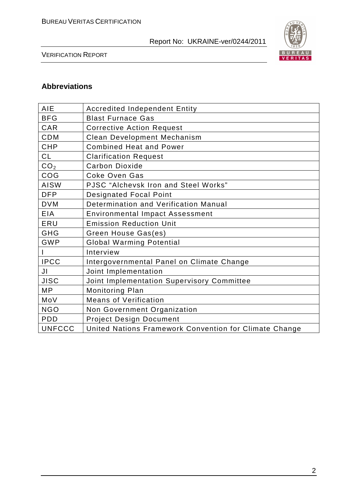

VERIFICATION REPORT

# **Abbreviations**

| <b>AIE</b>      | <b>Accredited Independent Entity</b>                   |
|-----------------|--------------------------------------------------------|
| <b>BFG</b>      | <b>Blast Furnace Gas</b>                               |
| CAR             | <b>Corrective Action Request</b>                       |
| <b>CDM</b>      | <b>Clean Development Mechanism</b>                     |
| <b>CHP</b>      | <b>Combined Heat and Power</b>                         |
| CL              | <b>Clarification Request</b>                           |
| CO <sub>2</sub> | <b>Carbon Dioxide</b>                                  |
| COG             | <b>Coke Oven Gas</b>                                   |
| <b>AISW</b>     | PJSC "Alchevsk Iron and Steel Works"                   |
| <b>DFP</b>      | <b>Designated Focal Point</b>                          |
| <b>DVM</b>      | Determination and Verification Manual                  |
| <b>EIA</b>      | <b>Environmental Impact Assessment</b>                 |
| ERU             | <b>Emission Reduction Unit</b>                         |
| <b>GHG</b>      | Green House Gas(es)                                    |
| <b>GWP</b>      | <b>Global Warming Potential</b>                        |
|                 | Interview                                              |
| <b>IPCC</b>     | Intergovernmental Panel on Climate Change              |
| JI              | Joint Implementation                                   |
| <b>JISC</b>     | Joint Implementation Supervisory Committee             |
| <b>MP</b>       | Monitoring Plan                                        |
| MoV             | <b>Means of Verification</b>                           |
| <b>NGO</b>      | Non Government Organization                            |
| <b>PDD</b>      | <b>Project Design Document</b>                         |
| <b>UNFCCC</b>   | United Nations Framework Convention for Climate Change |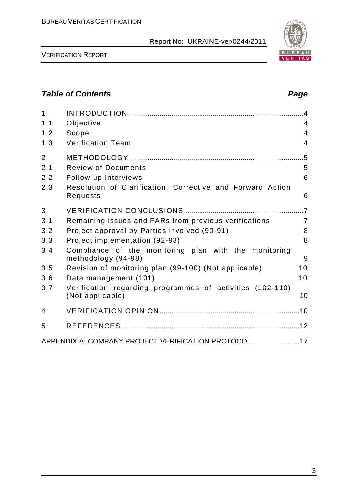

VERIFICATION REPORT

# **Table of Contents Page 2018**

| $\mathbf{1}$   |                                                                               | $\overline{4}$ |
|----------------|-------------------------------------------------------------------------------|----------------|
| 1.1            | Objective                                                                     | 4              |
| 1.2            | Scope                                                                         | $\overline{4}$ |
| 1.3            | <b>Verification Team</b>                                                      | 4              |
| $\overline{2}$ |                                                                               | .5             |
| 2.1            | <b>Review of Documents</b>                                                    | 5              |
| 2.2            | Follow-up Interviews                                                          | 6              |
| 2.3            | Resolution of Clarification, Corrective and Forward Action<br>Requests        | 6              |
| 3              |                                                                               |                |
| 3.1            | Remaining issues and FARs from previous verifications                         | $\overline{7}$ |
| 3.2            | Project approval by Parties involved (90-91)                                  | 8              |
| 3.3            | Project implementation (92-93)                                                | 8              |
| 3.4            | Compliance of the monitoring plan with the monitoring<br>methodology (94-98)  | 9              |
| 3.5            | Revision of monitoring plan (99-100) (Not applicable)                         | 10             |
| 3.6            | Data management (101)                                                         | 10             |
| 3.7            | Verification regarding programmes of activities (102-110)<br>(Not applicable) | 10             |
| 4              |                                                                               |                |
| 5              |                                                                               |                |
|                | APPENDIX A: COMPANY PROJECT VERIFICATION PROTOCOL 17                          |                |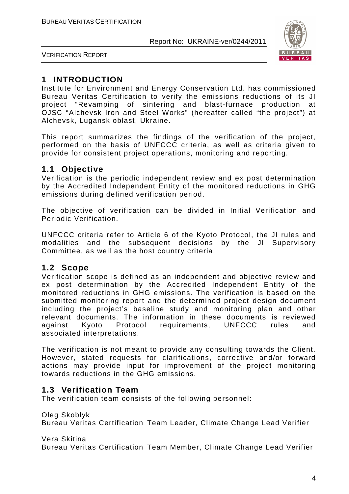

VERIFICATION REPORT

# **1 INTRODUCTION**

Institute for Environment and Energy Conservation Ltd. has commissioned Bureau Veritas Certification to verify the emissions reductions of its JI project "Revamping of sintering and blast-furnace production at OJSC "Alchevsk Iron and Steel Works" (hereafter called "the project") at Alchevsk, Lugansk oblast, Ukraine.

This report summarizes the findings of the verification of the project, performed on the basis of UNFCCC criteria, as well as criteria given to provide for consistent project operations, monitoring and reporting.

# **1.1 Objective**

Verification is the periodic independent review and ex post determination by the Accredited Independent Entity of the monitored reductions in GHG emissions during defined verification period.

The objective of verification can be divided in Initial Verification and Periodic Verification.

UNFCCC criteria refer to Article 6 of the Kyoto Protocol, the JI rules and modalities and the subsequent decisions by the JI Supervisory Committee, as well as the host country criteria.

### **1.2 Scope**

Verification scope is defined as an independent and objective review and ex post determination by the Accredited Independent Entity of the monitored reductions in GHG emissions. The verification is based on the submitted monitoring report and the determined project design document including the project's baseline study and monitoring plan and other relevant documents. The information in these documents is reviewed against Kyoto Protocol requirements, UNFCCC rules and associated interpretations.

The verification is not meant to provide any consulting towards the Client. However, stated requests for clarifications, corrective and/or forward actions may provide input for improvement of the project monitoring towards reductions in the GHG emissions.

# **1.3 Verification Team**

The verification team consists of the following personnel:

Oleg Skoblyk

Bureau Veritas Certification Team Leader, Climate Change Lead Verifier

Vera Skitina

Bureau Veritas Certification Team Member, Climate Change Lead Verifier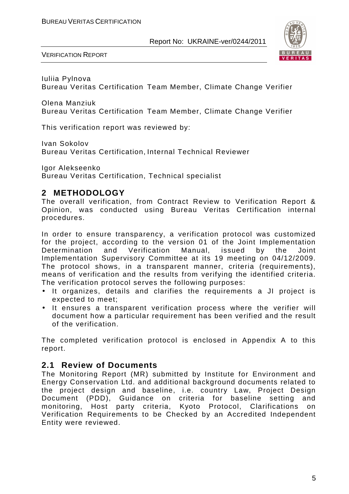

VERIFICATION REPORT

Iuliia Pylnova Bureau Veritas Certification Team Member, Climate Change Verifier

Olena Manziuk Bureau Veritas Certification Team Member, Climate Change Verifier

This verification report was reviewed by:

Ivan Sokolov

Bureau Veritas Certification, Internal Technical Reviewer

Igor Alekseenko Bureau Veritas Certification, Technical specialist

# **2 METHODOLOGY**

The overall verification, from Contract Review to Verification Report & Opinion, was conducted using Bureau Veritas Certification internal procedures.

In order to ensure transparency, a verification protocol was customized for the project, according to the version 01 of the Joint Implementation Determination and Verification Manual, issued by the Joint Implementation Supervisory Committee at its 19 meeting on 04/12/2009. The protocol shows, in a transparent manner, criteria (requirements), means of verification and the results from verifying the identified criteria. The verification protocol serves the following purposes:

- It organizes, details and clarifies the requirements a JI project is expected to meet;
- It ensures a transparent verification process where the verifier will document how a particular requirement has been verified and the result of the verification.

The completed verification protocol is enclosed in Appendix A to this report.

### **2.1 Review of Documents**

The Monitoring Report (MR) submitted by Institute for Environment and Energy Conservation Ltd. and additional background documents related to the project design and baseline, i.e. country Law, Project Design Document (PDD), Guidance on criteria for baseline setting and monitoring, Host party criteria, Kyoto Protocol, Clarifications on Verification Requirements to be Checked by an Accredited Independent Entity were reviewed.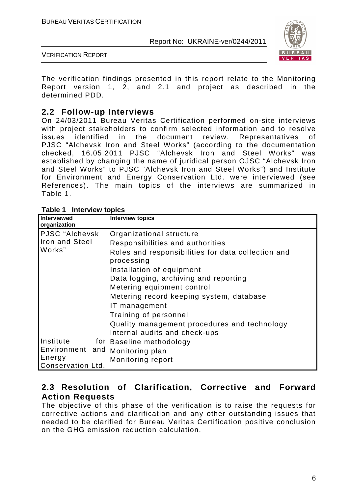

VERIFICATION REPORT

The verification findings presented in this report relate to the Monitoring Report version 1, 2, and 2.1 and project as described in the determined PDD.

# **2.2 Follow-up Interviews**

On 24/03/2011 Bureau Veritas Certification performed on-site interviews with project stakeholders to confirm selected information and to resolve issues identified in the document review. Representatives of PJSC "Alchevsk Iron and Steel Works" (according to the documentation checked, 16.05.2011 PJSC "Alchevsk Iron and Steel Works" was established by changing the name of juridical person OJSC "Alchevsk Iron and Steel Works" to PJSC "Alchevsk Iron and Steel Works") and Institute for Environment and Energy Conservation Ltd. were interviewed (see References). The main topics of the interviews are summarized in Table 1.

| <b>Table T. Interview topics</b> |                                                    |
|----------------------------------|----------------------------------------------------|
| <b>Interviewed</b>               | <b>Interview topics</b>                            |
| organization                     |                                                    |
| PJSC "Alchevsk                   | Organizational structure                           |
| <b>Iron and Steel</b>            | Responsibilities and authorities                   |
| Works"                           | Roles and responsibilities for data collection and |
|                                  | processing                                         |
|                                  | Installation of equipment                          |
|                                  | Data logging, archiving and reporting              |
|                                  | Metering equipment control                         |
|                                  | Metering record keeping system, database           |
|                                  | IT management                                      |
|                                  | Training of personnel                              |
|                                  | Quality management procedures and technology       |
|                                  | Internal audits and check-ups                      |
| Institute                        | for Baseline methodology                           |
| Environment and                  | Monitoring plan                                    |
| Energy                           | Monitoring report                                  |
| Conservation Ltd.                |                                                    |

|  |  | Table 1 Interview topics |  |
|--|--|--------------------------|--|
|--|--|--------------------------|--|

# **2.3 Resolution of Clarification, Corrective and Forward Action Requests**

The objective of this phase of the verification is to raise the requests for corrective actions and clarification and any other outstanding issues that needed to be clarified for Bureau Veritas Certification positive conclusion on the GHG emission reduction calculation.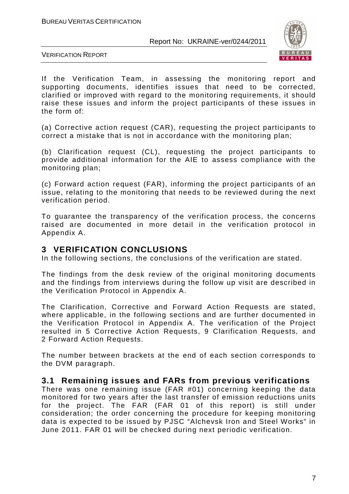

VERIFICATION REPORT

If the Verification Team, in assessing the monitoring report and supporting documents, identifies issues that need to be corrected, clarified or improved with regard to the monitoring requirements, it should raise these issues and inform the project participants of these issues in the form of:

(a) Corrective action request (CAR), requesting the project participants to correct a mistake that is not in accordance with the monitoring plan;

(b) Clarification request (CL), requesting the project participants to provide additional information for the AIE to assess compliance with the monitoring plan;

(c) Forward action request (FAR), informing the project participants of an issue, relating to the monitoring that needs to be reviewed during the next verification period.

To guarantee the transparency of the verification process, the concerns raised are documented in more detail in the verification protocol in Appendix A.

## **3 VERIFICATION CONCLUSIONS**

In the following sections, the conclusions of the verification are stated.

The findings from the desk review of the original monitoring documents and the findings from interviews during the follow up visit are described in the Verification Protocol in Appendix A.

The Clarification, Corrective and Forward Action Requests are stated, where applicable, in the following sections and are further documented in the Verification Protocol in Appendix A. The verification of the Project resulted in 5 Corrective Action Requests, 9 Clarification Requests, and 2 Forward Action Requests.

The number between brackets at the end of each section corresponds to the DVM paragraph.

### **3.1 Remaining issues and FARs from previous verifications**

There was one remaining issue (FAR #01) concerning keeping the data monitored for two years after the last transfer of emission reductions units for the project. The FAR (FAR 01 of this report) is still under consideration; the order concerning the procedure for keeping monitoring data is expected to be issued by PJSC "Alchevsk Iron and Steel Works" in June 2011. FAR 01 will be checked during next periodic verification.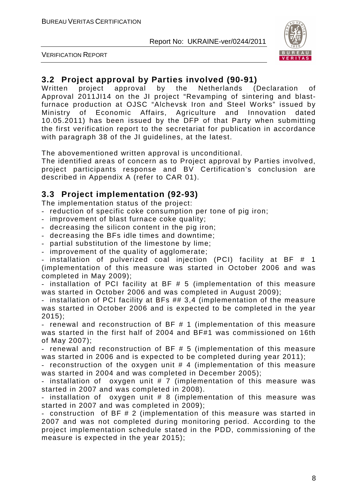

VERIFICATION REPORT

# **3.2 Project approval by Parties involved (90-91)**

Written project approval by the Netherlands (Declaration of Approval 2011JI14 on the JI project "Revamping of sintering and blastfurnace production at OJSC "Alchevsk Iron and Steel Works" issued by Ministry of Economic Affairs, Agriculture and Innovation dated 10.05.2011) has been issued by the DFP of that Party when submitting the first verification report to the secretariat for publication in accordance with paragraph 38 of the JI guidelines, at the latest.

The abovementioned written approval is unconditional.

The identified areas of concern as to Project approval by Parties involved, project participants response and BV Certification's conclusion are described in Appendix A (refer to CAR 01).

# **3.3 Project implementation (92-93)**

The implementation status of the project:

- reduction of specific coke consumption per tone of pig iron;
- improvement of blast furnace coke quality;
- decreasing the silicon content in the pig iron;
- decreasing the BFs idle times and downtime;
- partial substitution of the limestone by lime;
- improvement of the quality of agglomerate;

- installation of pulverized coal injection (PCI) facility at BF # 1 (implementation of this measure was started in October 2006 and was completed in May 2009);

- installation of PCI facility at BF # 5 (implementation of this measure was started in October 2006 and was completed in August 2009);

- installation of PCI facility at BFs ## 3,4 (implementation of the measure was started in October 2006 and is expected to be completed in the year 2015);

- renewal and reconstruction of BF # 1 (implementation of this measure was started in the first half of 2004 and BF#1 was commissioned on 16th of May 2007);

- renewal and reconstruction of BF # 5 (implementation of this measure was started in 2006 and is expected to be completed during year 2011);

- reconstruction of the oxygen unit # 4 (implementation of this measure was started in 2004 and was completed in December 2005);

- installation of oxygen unit # 7 (implementation of this measure was started in 2007 and was completed in 2008).

- installation of oxygen unit # 8 (implementation of this measure was started in 2007 and was completed in 2009);

- construction of BF # 2 (implementation of this measure was started in 2007 and was not completed during monitoring period. According to the project implementation schedule stated in the PDD, commissioning of the measure is expected in the year 2015);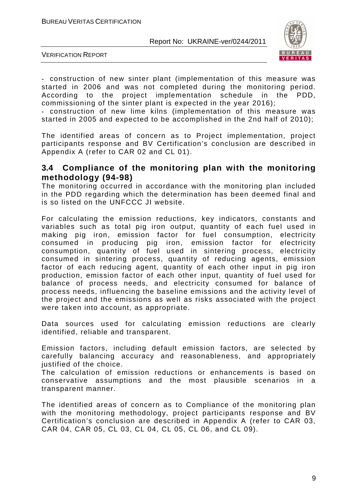

VERIFICATION REPORT

- construction of new sinter plant (implementation of this measure was started in 2006 and was not completed during the monitoring period. According to the project implementation schedule in the PDD, commissioning of the sinter plant is expected in the year 2016);

- construction of new lime kilns (implementation of this measure was started in 2005 and expected to be accomplished in the 2nd half of 2010);

The identified areas of concern as to Project implementation, project participants response and BV Certification's conclusion are described in Appendix A (refer to CAR 02 and CL 01).

#### **3.4 Compliance of the monitoring plan with the monitoring methodology (94-98)**

The monitoring occurred in accordance with the monitoring plan included in the PDD regarding which the determination has been deemed final and is so listed on the UNFCCC JI website.

For calculating the emission reductions, key indicators, constants and variables such as total pig iron output, quantity of each fuel used in making pig iron, emission factor for fuel consumption, electricity consumed in producing pig iron, emission factor for electricity consumption, quantity of fuel used in sintering process, electricity consumed in sintering process, quantity of reducing agents, emission factor of each reducing agent, quantity of each other input in pig iron production, emission factor of each other input, quantity of fuel used for balance of process needs, and electricity consumed for balance of process needs, influencing the baseline emissions and the activity level of the project and the emissions as well as risks associated with the project were taken into account, as appropriate.

Data sources used for calculating emission reductions are clearly identified, reliable and transparent.

Emission factors, including default emission factors, are selected by carefully balancing accuracy and reasonableness, and appropriately justified of the choice.

The calculation of emission reductions or enhancements is based on conservative assumptions and the most plausible scenarios in a transparent manner.

The identified areas of concern as to Compliance of the monitoring plan with the monitoring methodology, project participants response and BV Certification's conclusion are described in Appendix A (refer to CAR 03, CAR 04, CAR 05, CL 03, CL 04, CL 05, CL 06, and CL 09).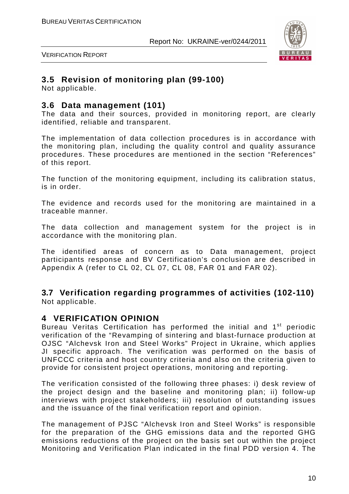

VERIFICATION REPORT

# **3.5 Revision of monitoring plan (99-100)**

Not applicable.

## **3.6 Data management (101)**

The data and their sources, provided in monitoring report, are clearly identified, reliable and transparent.

The implementation of data collection procedures is in accordance with the monitoring plan, including the quality control and quality assurance procedures. These procedures are mentioned in the section "References" of this report.

The function of the monitoring equipment, including its calibration status, is in order.

The evidence and records used for the monitoring are maintained in a traceable manner.

The data collection and management system for the project is in accordance with the monitoring plan.

The identified areas of concern as to Data management, project participants response and BV Certification's conclusion are described in Appendix A (refer to CL 02, CL 07, CL 08, FAR 01 and FAR 02).

**3.7 Verification regarding programmes of activities (102-110)**  Not applicable.

# **4 VERIFICATION OPINION**

Bureau Veritas Certification has performed the initial and 1<sup>st</sup> periodic verification of the "Revamping of sintering and blast-furnace production at OJSC "Alchevsk Iron and Steel Works" Project in Ukraine, which applies JI specific approach. The verification was performed on the basis of UNFCCC criteria and host country criteria and also on the criteria given to provide for consistent project operations, monitoring and reporting.

The verification consisted of the following three phases: i) desk review of the project design and the baseline and monitoring plan; ii) follow-up interviews with project stakeholders; iii) resolution of outstanding issues and the issuance of the final verification report and opinion.

The management of PJSC "Alchevsk Iron and Steel Works" is responsible for the preparation of the GHG emissions data and the reported GHG emissions reductions of the project on the basis set out within the project Monitoring and Verification Plan indicated in the final PDD version 4. The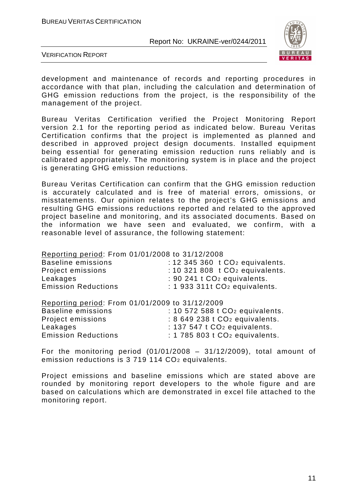

VERIFICATION REPORT

development and maintenance of records and reporting procedures in accordance with that plan, including the calculation and determination of GHG emission reductions from the project, is the responsibility of the management of the project.

Bureau Veritas Certification verified the Project Monitoring Report version 2.1 for the reporting period as indicated below. Bureau Veritas Certification confirms that the project is implemented as planned and described in approved project design documents. Installed equipment being essential for generating emission reduction runs reliably and is calibrated appropriately. The monitoring system is in place and the project is generating GHG emission reductions.

Bureau Veritas Certification can confirm that the GHG emission reduction is accurately calculated and is free of material errors, omissions, or misstatements. Our opinion relates to the project's GHG emissions and resulting GHG emissions reductions reported and related to the approved project baseline and monitoring, and its associated documents. Based on the information we have seen and evaluated, we confirm, with a reasonable level of assurance, the following statement:

Reporting period: From 01/01/2008 to 31/12/2008

| Baseline emissions         | $: 12$ 345 360 t CO <sub>2</sub> equivalents. |
|----------------------------|-----------------------------------------------|
| Project emissions          | : 10 321 808 $t$ CO <sub>2</sub> equivalents. |
| Leakages                   | $: 90241$ t $CO2$ equivalents.                |
| <b>Emission Reductions</b> | $: 1933311t CO2$ equivalents.                 |
|                            |                                               |

|                            | Reporting period: From 01/01/2009 to 31/12/2009 |
|----------------------------|-------------------------------------------------|
| <b>Baseline emissions</b>  | : 10 572 588 t CO <sub>2</sub> equivalents.     |
| Project emissions          | : 8 649 238 t CO <sub>2</sub> equivalents.      |
| Leakages                   | : $137547$ t $CO2$ equivalents.                 |
| <b>Emission Reductions</b> | : 1 785 803 $t$ CO <sub>2</sub> equivalents.    |
|                            |                                                 |

For the monitoring period  $(01/01/2008 - 31/12/2009)$ , total amount of emission reductions is 3 719 114 CO<sub>2</sub> equivalents.

Project emissions and baseline emissions which are stated above are rounded by monitoring report developers to the whole figure and are based on calculations which are demonstrated in excel file attached to the monitoring report.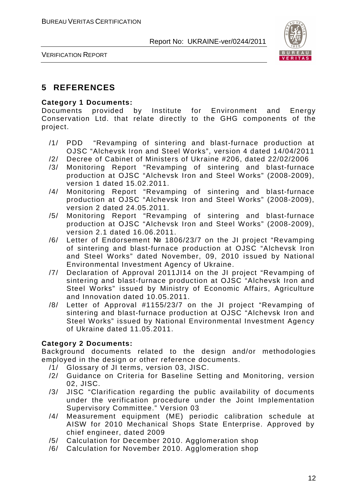

VERIFICATION REPORT

# **5 REFERENCES**

#### **Category 1 Documents:**

Documents provided by Institute for Environment and Energy Conservation Ltd. that relate directly to the GHG components of the project.

- /1/ PDD "Revamping of sintering and blast-furnace production at OJSC "Alchevsk Iron and Steel Works", version 4 dated 14/04/2011
- /2/ Decree of Cabinet of Ministers of Ukraine #206, dated 22/02/2006
- /3/ Monitoring Report "Revamping of sintering and blast-furnace production at OJSC "Alchevsk Iron and Steel Works" (2008-2009), version 1 dated 15.02.2011.
- /4/ Monitoring Report "Revamping of sintering and blast-furnace production at OJSC "Alchevsk Iron and Steel Works" (2008-2009), version 2 dated 24.05.2011.
- /5/ Monitoring Report "Revamping of sintering and blast-furnace production at OJSC "Alchevsk Iron and Steel Works" (2008-2009), version 2.1 dated 16.06.2011.
- /6/ Letter of Endorsement № 1806/23/7 on the JI project "Revamping of sintering and blast-furnace production at OJSC "Alchevsk Iron and Steel Works" dated November, 09, 2010 issued by National Environmental Investment Agency of Ukraine.
- /7/ Declaration of Approval 2011JI14 on the JI project "Revamping of sintering and blast-furnace production at OJSC "Alchevsk Iron and Steel Works" issued by Ministry of Economic Affairs, Agriculture and Innovation dated 10.05.2011.
- /8/ Letter of Approval #1155/23/7 on the JI project "Revamping of sintering and blast-furnace production at OJSC "Alchevsk Iron and Steel Works" issued by National Environmental Investment Agency of Ukraine dated 11.05.2011.

#### **Category 2 Documents:**

Background documents related to the design and/or methodologies employed in the design or other reference documents.

- /1/ Glossary of JI terms, version 03, JISC.
- /2/ Guidance on Criteria for Baseline Setting and Monitoring, version 02, JISC.
- /3/ JISC "Clarification regarding the public availability of documents under the verification procedure under the Joint Implementation Supervisory Committee." Version 03
- /4/ Measurement equipment (ME) periodic calibration schedule at AISW for 2010 Mechanical Shops State Enterprise. Approved by chief engineer, dated 2009
- /5/ Calculation for December 2010. Agglomeration shop
- /6/ Calculation for November 2010. Agglomeration shop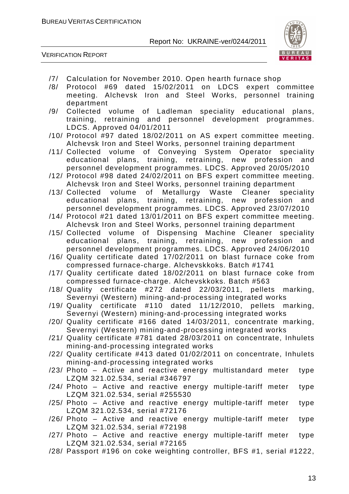



- /7/ Calculation for November 2010. Open hearth furnace shop
- /8/ Protocol #69 dated 15/02/2011 on LDCS expert committee meeting. Alchevsk Iron and Steel Works, personnel training department
- /9/ Collected volume of Ladleman speciality educational plans, training, retraining and personnel development programmes. LDCS. Approved 04/01/2011
- /10/ Protocol #97 dated 18/02/2011 on AS expert committee meeting. Alchevsk Iron and Steel Works, personnel training department
- /11/ Collected volume of Conveying System Operator speciality educational plans, training, retraining, new profession and personnel development programmes. LDCS. Approved 20/05/2010
- /12/ Protocol #98 dated 24/02/2011 on BFS expert committee meeting. Alchevsk Iron and Steel Works, personnel training department
- /13/ Collected volume of Metallurgy Waste Cleaner speciality educational plans, training, retraining, new profession and personnel development programmes. LDCS. Approved 23/07/2010
- /14/ Protocol #21 dated 13/01/2011 on BFS expert committee meeting. Alchevsk Iron and Steel Works, personnel training department
- /15/ Collected volume of Dispensing Machine Cleaner speciality educational plans, training, retraining, new profession and personnel development programmes. LDCS. Approved 24/06/2010
- /16/ Quality certificate dated 17/02/2011 on blast furnace coke from compressed furnace-charge. Alchevskkoks. Batch #1741
- /17/ Quality certificate dated 18/02/2011 on blast furnace coke from compressed furnace-charge. Alchevskkoks. Batch #563
- /18/ Quality certificate #272 dated 22/03/2011, pellets marking, Severnyi (Western) mining-and-processing integrated works
- /19/ Quality certificate #110 dated 11/12/2010, pellets marking, Severnyi (Western) mining-and-processing integrated works
- /20/ Quality certificate #166 dated 14/03/2011, concentrate marking, Severnyi (Western) mining-and-processing integrated works
- /21/ Quality certificate #781 dated 28/03/2011 on concentrate, Inhulets mining-and-processing integrated works
- /22/ Quality certificate #413 dated 01/02/2011 on concentrate, Inhulets mining-and-processing integrated works
- /23/ Photo Active and reactive energy multistandard meter type LZQM 321.02.534, serial #346797
- /24/ Photo Active and reactive energy multiple-tariff meter type LZQM 321.02.534, serial #255530
- /25/ Photo Active and reactive energy multiple-tariff meter type LZQM 321.02.534, serial #72176
- /26/ Photo Active and reactive energy multiple-tariff meter type LZQM 321.02.534, serial #72198
- /27/ Photo Active and reactive energy multiple-tariff meter type LZQM 321.02.534, serial #72165
- /28/ Passport #196 on coke weighting controller, BFS #1, serial #1222,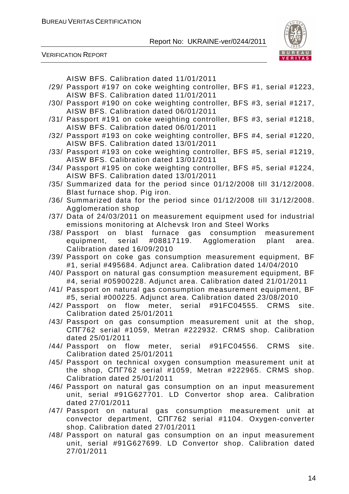

VERIFICATION REPORT

AISW BFS. Calibration dated 11/01/2011

- /29/ Passport #197 on coke weighting controller, BFS #1, serial #1223, AISW BFS. Calibration dated 11/01/2011
- /30/ Passport #190 on coke weighting controller, BFS #3, serial #1217, AISW BFS. Calibration dated 06/01/2011
- /31/ Passport #191 on coke weighting controller, BFS #3, serial #1218, AISW BFS. Calibration dated 06/01/2011
- /32/ Passport #193 on coke weighting controller, BFS #4, serial #1220, AISW BFS. Calibration dated 13/01/2011
- /33/ Passport #193 on coke weighting controller, BFS #5, serial #1219, AISW BFS. Calibration dated 13/01/2011
- /34/ Passport #195 on coke weighting controller, BFS #5, serial #1224, AISW BFS. Calibration dated 13/01/2011
- /35/ Summarized data for the period since 01/12/2008 till 31/12/2008. Blast furnace shop. Pig iron.
- /36/ Summarized data for the period since 01/12/2008 till 31/12/2008. Agglomeration shop
- /37/ Data of 24/03/2011 on measurement equipment used for industrial emissions monitoring at Alchevsk Iron and Steel Works
- /38/ Passport on blast furnace gas consumption measurement equipment, serial #08817119. Agglomeration plant area. Calibration dated 16/09/2010
- /39/ Passport on coke gas consumption measurement equipment, BF #1, serial #495684. Adjunct area. Calibration dated 14/04/2010
- /40/ Passport on natural gas consumption measurement equipment, BF #4, serial #05900228. Adjunct area. Calibration dated 21/01/2011
- /41/ Passport on natural gas consumption measurement equipment, BF #5, serial #000225. Adjunct area. Calibration dated 23/08/2010
- /42/ Passport on flow meter, serial #91FC04555. CRMS site. Calibration dated 25/01/2011
- /43/ Passport on gas consumption measurement unit at the shop, СПГ762 serial #1059, Metran #222932. CRMS shop. Calibration dated 25/01/2011
- /44/ Passport on flow meter, serial #91FC04556. CRMS site. Calibration dated 25/01/2011
- /45/ Passport on technical oxygen consumption measurement unit at the shop, СПГ762 serial #1059, Metran #222965. CRMS shop. Calibration dated 25/01/2011
- /46/ Passport on natural gas consumption on an input measurement unit, serial #91G627701. LD Convertor shop area. Calibration dated 27/01/2011
- /47/ Passport on natural gas consumption measurement unit at convector department, СПГ762 serial #1104. Oxygen-converter shop. Calibration dated 27/01/2011
- /48/ Passport on natural gas consumption on an input measurement unit, serial #91G627699. LD Convertor shop. Calibration dated 27/01/2011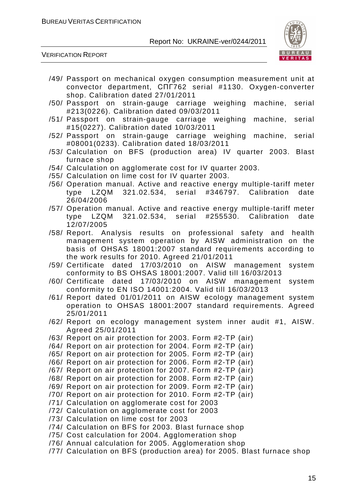

VERIFICATION REPORT

- /49/ Passport on mechanical oxygen consumption measurement unit at convector department, СПГ762 serial #1130. Oxygen-converter shop. Calibration dated 27/01/2011
- /50/ Passport on strain-gauge carriage weighing machine, serial #213(0226). Calibration dated 09/03/2011
- /51/ Passport on strain-gauge carriage weighing machine, serial #15(0227). Calibration dated 10/03/2011
- /52/ Passport on strain-gauge carriage weighing machine, serial #08001(0233). Calibration dated 18/03/2011
- /53/ Calculation on BFS (production area) IV quarter 2003. Blast furnace shop
- /54/ Calculation on agglomerate cost for IV quarter 2003.
- /55/ Calculation on lime cost for IV quarter 2003.
- /56/ Operation manual. Active and reactive energy multiple-tariff meter type LZQM 321.02.534, serial #346797. Calibration date 26/04/2006
- /57/ Operation manual. Active and reactive energy multiple-tariff meter type LZQM 321.02.534, serial #255530. Calibration date 12/07/2005
- /58/ Report. Analysis results on professional safety and health management system operation by AISW administration on the basis of OHSAS 18001:2007 standard requirements according to the work results for 2010. Agreed 21/01/2011
- /59/ Certificate dated 17/03/2010 on AISW management system conformity to BS OHSAS 18001:2007. Valid till 16/03/2013
- /60/ Certificate dated 17/03/2010 on AISW management system conformity to EN ISO 14001:2004. Valid till 16/03/2013
- /61/ Report dated 01/01/2011 on AISW ecology management system operation to OHSAS 18001:2007 standard requirements. Agreed 25/01/2011
- /62/ Report on ecology management system inner audit #1, AISW. Agreed 25/01/2011
- /63/ Report on air protection for 2003. Form #2-TP (air)
- /64/ Report on air protection for 2004. Form #2-TP (air)
- /65/ Report on air protection for 2005. Form #2-TP (air)
- /66/ Report on air protection for 2006. Form #2-TP (air)
- /67/ Report on air protection for 2007. Form #2-TP (air)
- /68/ Report on air protection for 2008. Form #2-TP (air)
- /69/ Report on air protection for 2009. Form #2-TP (air)
- /70/ Report on air protection for 2010. Form #2-TP (air)
- /71/ Calculation on agglomerate cost for 2003
- /72/ Calculation on agglomerate cost for 2003
- /73/ Calculation on lime cost for 2003
- /74/ Calculation on BFS for 2003. Blast furnace shop
- /75/ Cost calculation for 2004. Agglomeration shop
- /76/ Annual calculation for 2005. Agglomeration shop
- /77/ Calculation on BFS (production area) for 2005. Blast furnace shop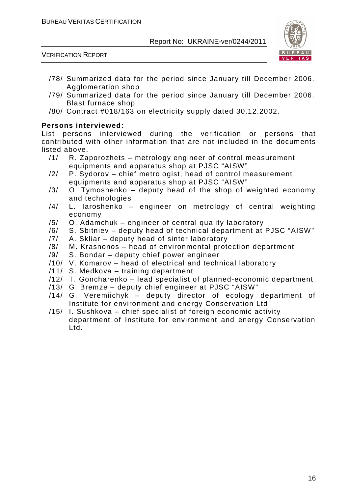

VERIFICATION REPORT

- /78/ Summarized data for the period since January till December 2006. Agglomeration shop
- /79/ Summarized data for the period since January till December 2006. Blast furnace shop
- /80/ Contract #018/163 on electricity supply dated 30.12.2002.

#### **Persons interviewed:**

List persons interviewed during the verification or persons that contributed with other information that are not included in the documents listed above.

- /1/ R. Zaporozhets metrology engineer of control measurement equipments and apparatus shop at PJSC "AISW"
- /2/ P. Sydorov chief metrologist, head of control measurement equipments and apparatus shop at PJSC "AISW"
- $/3/$  O. Tymoshenko deputy head of the shop of weighted economy and technologies
- /4/ L. Iaroshenko engineer on metrology of central weighting economy
- /5/ O. Adamchuk engineer of central quality laboratory
- /6/ S. Sbitniev deputy head of technical department at PJSC "AISW"
- /7/ A. Skliar deputy head of sinter laboratory
- /8/ M. Krasnonos head of environmental protection department
- /9/ S. Bondar deputy chief power engineer
- /10/ V. Komarov head of electrical and technical laboratory
- /11/ S. Medkova training department
- /12/ T. Goncharenko lead specialist of planned-economic department
- /13/ G. Bremze deputy chief engineer at PJSC "AISW"
- /14/ G. Veremiichyk deputy director of ecology department of Institute for environment and energy Conservation Ltd.
- /15/ I. Sushkova chief specialist of foreign economic activity department of Institute for environment and energy Conservation Ltd.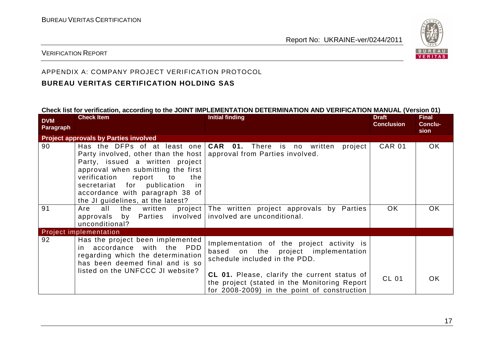

#### VERIFICATION REPORT

# APPENDIX A: COMPANY PROJECT VERIFICATION PROTOCOL

#### **BUREAU VERITAS CERTIFICATION HOLDING SAS**

#### **Check list for verification, according to the JOINT IMPLEMENTATION DETERMINATION AND VERIFICATION MANUAL (Version 01)**

| <b>DVM</b><br>Paragraph | <b>Check Item</b>                                                                                                                                                                                                                                                                                                                  | <b>Initial finding</b>                                                                                                                             | <b>Draft</b><br><b>Conclusion</b> | <b>Final</b><br>Conclu-<br>sion |
|-------------------------|------------------------------------------------------------------------------------------------------------------------------------------------------------------------------------------------------------------------------------------------------------------------------------------------------------------------------------|----------------------------------------------------------------------------------------------------------------------------------------------------|-----------------------------------|---------------------------------|
|                         | <b>Project approvals by Parties involved</b>                                                                                                                                                                                                                                                                                       |                                                                                                                                                    |                                   |                                 |
| 90                      | Has the DFPs of at least one<br>Party involved, other than the host   approval from Parties involved.<br>Party, issued a written project<br>approval when submitting the first<br>verification<br>report<br>to<br>the<br>secretariat for publication<br>in<br>accordance with paragraph 38 of<br>the JI guidelines, at the latest? | <b>CAR 01.</b> There is no written<br>project                                                                                                      | <b>CAR 01</b>                     | OK.                             |
| 91                      | all<br>the written project<br>Are<br>approvals by Parties involved<br>unconditional?                                                                                                                                                                                                                                               | The written project approvals by Parties<br>involved are unconditional.                                                                            | OK.                               | <b>OK</b>                       |
|                         | <b>Project implementation</b>                                                                                                                                                                                                                                                                                                      |                                                                                                                                                    |                                   |                                 |
| 92                      | Has the project been implemented<br>accordance with the PDD<br>in i<br>regarding which the determination<br>has been deemed final and is so                                                                                                                                                                                        | Implementation of the project activity is<br>based on the project implementation<br>schedule included in the PDD.                                  |                                   |                                 |
|                         | listed on the UNFCCC JI website?                                                                                                                                                                                                                                                                                                   | <b>CL 01.</b> Please, clarify the current status of<br>the project (stated in the Monitoring Report<br>for 2008-2009) in the point of construction | <b>CL 01</b>                      | OK.                             |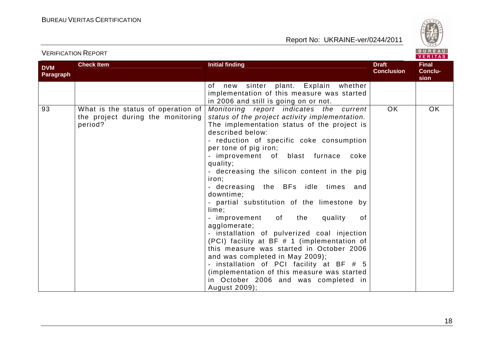

| <b>VERIFICATION REPORT</b> |
|----------------------------|
|----------------------------|



| <b>DVM</b><br>Paragraph | <b>Check Item</b>                                                                  | <b>Initial finding</b>                                                                                                                                                                                                                                                                                                                                                                                                                                                                                                                                                                                                                                                                                                                                                                                                                                  | <b>Draft</b><br><b>Conclusion</b> | Final<br>Conclu-<br>sion |
|-------------------------|------------------------------------------------------------------------------------|---------------------------------------------------------------------------------------------------------------------------------------------------------------------------------------------------------------------------------------------------------------------------------------------------------------------------------------------------------------------------------------------------------------------------------------------------------------------------------------------------------------------------------------------------------------------------------------------------------------------------------------------------------------------------------------------------------------------------------------------------------------------------------------------------------------------------------------------------------|-----------------------------------|--------------------------|
|                         |                                                                                    | of new sinter plant. Explain whether<br>implementation of this measure was started<br>in 2006 and still is going on or not.                                                                                                                                                                                                                                                                                                                                                                                                                                                                                                                                                                                                                                                                                                                             |                                   |                          |
| 93                      | What is the status of operation of<br>the project during the monitoring<br>period? | Monitoring report indicates the current<br>status of the project activity implementation.<br>The implementation status of the project is<br>described below:<br>- reduction of specific coke consumption<br>per tone of pig iron;<br>- improvement of blast furnace<br>coke<br>quality;<br>- decreasing the silicon content in the pig<br>iron;<br>- decreasing the BFs idle times<br>and<br>downtime;<br>- partial substitution of the limestone by<br>lime;<br>- improvement of the<br>quality<br>of<br>agglomerate;<br>- installation of pulverized coal injection<br>(PCI) facility at BF # 1 (implementation of<br>this measure was started in October 2006<br>and was completed in May 2009);<br>- installation of PCI facility at BF # 5<br>(implementation of this measure was started<br>in October 2006 and was completed in<br>August 2009); | <b>OK</b>                         | OK                       |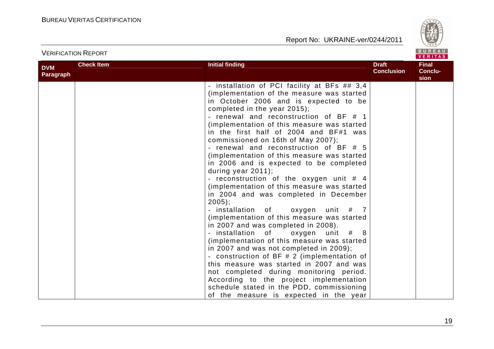

|                         | <b>VERIFICATION REPORT</b> | BUREAU<br>VERITAS                                                                                                                                                                                                                                                                                                                                                                                                                                                                                                                                                                                                                                                                                                                                                                                                                                                                                                                                                                                                                                                                                                                                                                               |                                   |                                 |
|-------------------------|----------------------------|-------------------------------------------------------------------------------------------------------------------------------------------------------------------------------------------------------------------------------------------------------------------------------------------------------------------------------------------------------------------------------------------------------------------------------------------------------------------------------------------------------------------------------------------------------------------------------------------------------------------------------------------------------------------------------------------------------------------------------------------------------------------------------------------------------------------------------------------------------------------------------------------------------------------------------------------------------------------------------------------------------------------------------------------------------------------------------------------------------------------------------------------------------------------------------------------------|-----------------------------------|---------------------------------|
| <b>DVM</b><br>Paragraph | <b>Check Item</b>          | <b>Initial finding</b>                                                                                                                                                                                                                                                                                                                                                                                                                                                                                                                                                                                                                                                                                                                                                                                                                                                                                                                                                                                                                                                                                                                                                                          | <b>Draft</b><br><b>Conclusion</b> | <b>Final</b><br>Conclu-<br>sion |
|                         |                            | - installation of PCI facility at BFs ## 3,4<br>(implementation of the measure was started<br>in October 2006 and is expected to be<br>completed in the year 2015);<br>- renewal and reconstruction of BF # 1<br>(implementation of this measure was started<br>in the first half of 2004 and BF#1 was<br>commissioned on 16th of May 2007);<br>- renewal and reconstruction of BF # 5<br>(implementation of this measure was started<br>in 2006 and is expected to be completed<br>during year 2011);<br>- reconstruction of the oxygen unit $#$ 4<br>(implementation of this measure was started<br>in 2004 and was completed in December<br>$2005$ :<br>- installation of<br>oxygen unit $#$ 7<br>(implementation of this measure was started<br>in 2007 and was completed in 2008).<br>- installation of<br>oxygen unit #<br>(implementation of this measure was started<br>in 2007 and was not completed in 2009);<br>- construction of BF # 2 (implementation of<br>this measure was started in 2007 and was<br>not completed during monitoring period.<br>According to the project implementation<br>schedule stated in the PDD, commissioning<br>of the measure is expected in the year |                                   |                                 |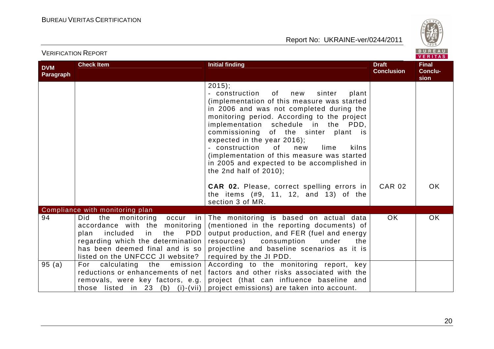

|                         |                                                                                                                                                                                                                      |                                                                                                                                                                                                                                                                                                                                                                                                                                                                                             |                                   | <b>VERITAS</b>                  |
|-------------------------|----------------------------------------------------------------------------------------------------------------------------------------------------------------------------------------------------------------------|---------------------------------------------------------------------------------------------------------------------------------------------------------------------------------------------------------------------------------------------------------------------------------------------------------------------------------------------------------------------------------------------------------------------------------------------------------------------------------------------|-----------------------------------|---------------------------------|
| <b>DVM</b><br>Paragraph | <b>Check Item</b>                                                                                                                                                                                                    | <b>Initial finding</b>                                                                                                                                                                                                                                                                                                                                                                                                                                                                      | <b>Draft</b><br><b>Conclusion</b> | <b>Final</b><br>Conclu-<br>sion |
|                         |                                                                                                                                                                                                                      | $2015$ ;<br>sinter<br>- construction<br>of<br>new<br>plant<br>(implementation of this measure was started<br>in 2006 and was not completed during the<br>monitoring period. According to the project<br>implementation schedule in the PDD,<br>commissioning of the sinter plant is<br>expected in the year 2016);<br>- construction<br>0f<br>new<br>lime<br>kilns<br>(implementation of this measure was started<br>in 2005 and expected to be accomplished in<br>the 2nd half of $2010$ ; |                                   |                                 |
|                         |                                                                                                                                                                                                                      | <b>CAR 02.</b> Please, correct spelling errors in<br>the items $(#9, 11, 12, and 13)$ of the<br>section 3 of MR.                                                                                                                                                                                                                                                                                                                                                                            | <b>CAR 02</b>                     | <b>OK</b>                       |
|                         | Compliance with monitoring plan                                                                                                                                                                                      |                                                                                                                                                                                                                                                                                                                                                                                                                                                                                             |                                   |                                 |
| 94                      | monitoring occur<br>the<br>Did<br>accordance with the monitoring<br>included<br>PDD<br>plan<br>in<br>the<br>regarding which the determination<br>has been deemed final and is so<br>listed on the UNFCCC JI website? | in The monitoring is based on actual data<br>(mentioned in the reporting documents) of<br>output production, and FER (fuel and energy<br>resources) consumption<br>under<br>the<br>projectline and baseline scenarios as it is<br>required by the JI PDD.                                                                                                                                                                                                                                   | OK.                               | OK                              |
| 95(a)                   | calculating the<br>emission  <br>For<br>reductions or enhancements of net  <br>removals, were key factors, e.g.                                                                                                      | According to the monitoring report, key<br>factors and other risks associated with the<br>project (that can influence baseline and<br>those listed in 23 (b) (i)-(vii) project emissions) are taken into account.                                                                                                                                                                                                                                                                           |                                   |                                 |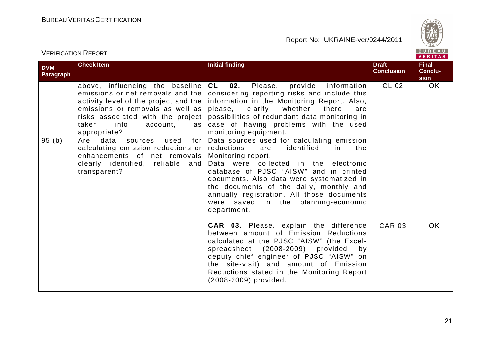

|                                |                                                                                                                                                                                                                                             |                                                                                                                                                                                                                                                                                                                                                                                                                                                                                                                                                                                                                                                                                                                                           |                                   | <b>VERITAS</b>                  |
|--------------------------------|---------------------------------------------------------------------------------------------------------------------------------------------------------------------------------------------------------------------------------------------|-------------------------------------------------------------------------------------------------------------------------------------------------------------------------------------------------------------------------------------------------------------------------------------------------------------------------------------------------------------------------------------------------------------------------------------------------------------------------------------------------------------------------------------------------------------------------------------------------------------------------------------------------------------------------------------------------------------------------------------------|-----------------------------------|---------------------------------|
| <b>DVM</b><br><b>Paragraph</b> | <b>Check Item</b>                                                                                                                                                                                                                           | <b>Initial finding</b>                                                                                                                                                                                                                                                                                                                                                                                                                                                                                                                                                                                                                                                                                                                    | <b>Draft</b><br><b>Conclusion</b> | <b>Final</b><br>Conclu-<br>sion |
|                                | above, influencing the baseline<br>emissions or net removals and the<br>activity level of the project and the  <br>emissions or removals as well as<br>risks associated with the project<br>taken<br>into<br>account,<br>as<br>appropriate? | $CL$ 02.<br>Please, provide information<br>considering reporting risks and include this<br>information in the Monitoring Report. Also,<br>please,<br>clarify<br>whether<br>there<br>are<br>possibilities of redundant data monitoring in<br>case of having problems with the used<br>monitoring equipment.                                                                                                                                                                                                                                                                                                                                                                                                                                | CL 02                             | OK                              |
| 95(b)                          | Are<br>data<br>used<br>for $ $<br>sources<br>calculating emission reductions or<br>enhancements of net removals<br>clearly identified, reliable and<br>transparent?                                                                         | Data sources used for calculating emission<br>identified<br>reductions<br>are<br>in<br>the<br>Monitoring report.<br>Data were collected in the electronic<br>database of PJSC "AISW" and in printed<br>documents. Also data were systematized in<br>the documents of the daily, monthly and<br>annually registration. All those documents<br>were saved in the planning-economic<br>department.<br><b>CAR 03.</b> Please, explain the difference<br>between amount of Emission Reductions<br>calculated at the PJSC "AISW" (the Excel-<br>spreadsheet (2008-2009) provided by<br>deputy chief engineer of PJSC "AISW" on<br>the site-visit) and amount of Emission<br>Reductions stated in the Monitoring Report<br>(2008-2009) provided. | <b>CAR 03</b>                     | <b>OK</b>                       |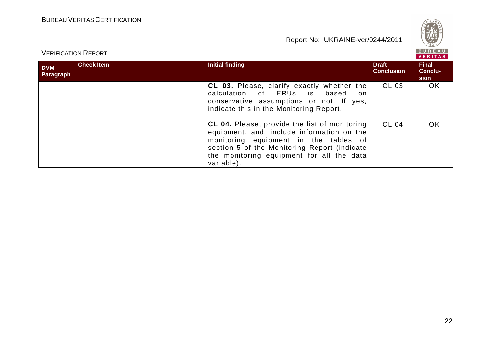

|                         | <b>BUREAU</b><br><b>VERIFICATION REPORT</b><br><b>VERITAS</b> |                                                                                                                                                                                                                                                 |                                   |                                 |
|-------------------------|---------------------------------------------------------------|-------------------------------------------------------------------------------------------------------------------------------------------------------------------------------------------------------------------------------------------------|-----------------------------------|---------------------------------|
| <b>DVM</b><br>Paragraph | <b>Check Item</b>                                             | <b>Initial finding</b>                                                                                                                                                                                                                          | <b>Draft</b><br><b>Conclusion</b> | <b>Final</b><br>Conclu-<br>sion |
|                         |                                                               | <b>CL 03.</b> Please, clarify exactly whether the<br>calculation of ERUs is based<br>on.<br>conservative assumptions or not. If yes,<br>indicate this in the Monitoring Report.                                                                 | CL 03                             | OK.                             |
|                         |                                                               | CL 04. Please, provide the list of monitoring<br>equipment, and, include information on the<br>monitoring equipment in the tables of<br>section 5 of the Monitoring Report (indicate<br>the monitoring equipment for all the data<br>variable). | CL 04                             | OK.                             |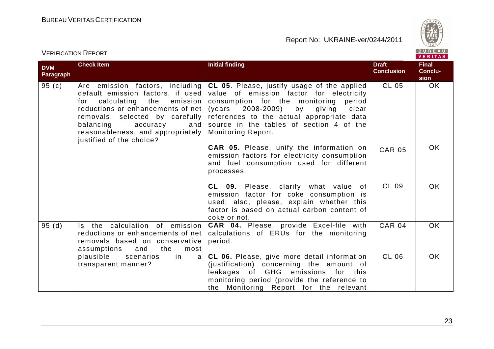

|                         |                                                                                                                                                                                                                                                                                        |                                                                                                                                                                                                                                                                                                         |                                   | <b>VERITAS</b>                  |
|-------------------------|----------------------------------------------------------------------------------------------------------------------------------------------------------------------------------------------------------------------------------------------------------------------------------------|---------------------------------------------------------------------------------------------------------------------------------------------------------------------------------------------------------------------------------------------------------------------------------------------------------|-----------------------------------|---------------------------------|
| <b>DVM</b><br>Paragraph | <b>Check Item</b>                                                                                                                                                                                                                                                                      | <b>Initial finding</b>                                                                                                                                                                                                                                                                                  | <b>Draft</b><br><b>Conclusion</b> | <b>Final</b><br>Conclu-<br>sion |
| 95(c)                   | Are emission factors, including<br>default emission factors, if used<br>calculating<br>emission<br>the<br>for<br>reductions or enhancements of net<br>removals, selected by carefully<br>balancing<br>accuracy<br>and<br>reasonableness, and appropriately<br>justified of the choice? | CL 05. Please, justify usage of the applied<br>value of emission factor for electricity<br>consumption for the monitoring<br>period<br>(years 2008-2009)<br>by<br>giving<br>clear<br>references to the actual appropriate data<br>source in the tables of section 4 of the<br><b>Monitoring Report.</b> | CL 05                             | <b>OK</b>                       |
|                         |                                                                                                                                                                                                                                                                                        | <b>CAR 05.</b> Please, unify the information on<br>emission factors for electricity consumption<br>and fuel consumption used for different<br>processes.                                                                                                                                                | <b>CAR 05</b>                     | <b>OK</b>                       |
|                         |                                                                                                                                                                                                                                                                                        | <b>CL 09.</b> Please, clarify what value of<br>emission factor for coke consumption is<br>used; also, please, explain whether this<br>factor is based on actual carbon content of<br>coke or not.                                                                                                       | CL 09                             | OK.                             |
| 95(d)                   | Is the calculation of emission<br>reductions or enhancements of net<br>removals based on conservative<br>the<br>assumptions<br>and<br>most                                                                                                                                             | CAR 04. Please, provide Excel-file with<br>calculations of ERUs for the monitoring<br>period.                                                                                                                                                                                                           | <b>CAR 04</b>                     | <b>OK</b>                       |
|                         | plausible<br>scenarios<br>in<br>a<br>transparent manner?                                                                                                                                                                                                                               | CL 06. Please, give more detail information<br>(justification) concerning the amount of<br>leakages of GHG emissions for this<br>monitoring period (provide the reference to<br>the Monitoring Report for the relevant                                                                                  | CL 06                             | <b>OK</b>                       |

### VERIFICATION REPORT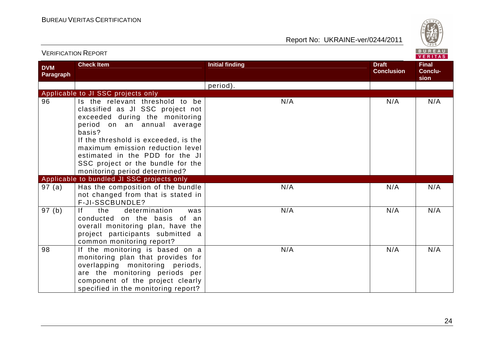

|                         | <b>VERIFICATION REPORT</b>                                                                                                                                                                                                                                                                                                          |                        |                                   |                          |
|-------------------------|-------------------------------------------------------------------------------------------------------------------------------------------------------------------------------------------------------------------------------------------------------------------------------------------------------------------------------------|------------------------|-----------------------------------|--------------------------|
| <b>DVM</b><br>Paragraph | <b>Check Item</b>                                                                                                                                                                                                                                                                                                                   | <b>Initial finding</b> | <b>Draft</b><br><b>Conclusion</b> | Final<br>Conclu-<br>sion |
|                         |                                                                                                                                                                                                                                                                                                                                     | period).               |                                   |                          |
|                         | Applicable to JI SSC projects only                                                                                                                                                                                                                                                                                                  |                        |                                   |                          |
| 96                      | Is the relevant threshold to be<br>classified as JI SSC project not<br>exceeded during the monitoring<br>period on an annual average<br>basis?<br>If the threshold is exceeded, is the<br>maximum emission reduction level<br>estimated in the PDD for the JI<br>SSC project or the bundle for the<br>monitoring period determined? | N/A                    | N/A                               | N/A                      |
|                         | Applicable to bundled JI SSC projects only                                                                                                                                                                                                                                                                                          |                        |                                   |                          |
| 97(a)                   | Has the composition of the bundle<br>not changed from that is stated in<br>F-JI-SSCBUNDLE?                                                                                                                                                                                                                                          | N/A                    | N/A                               | N/A                      |
| 97(b)                   | If<br>the<br>determination<br>was<br>conducted on the basis of an<br>overall monitoring plan, have the<br>project participants submitted a<br>common monitoring report?                                                                                                                                                             | N/A                    | N/A                               | N/A                      |
| 98                      | If the monitoring is based on a<br>monitoring plan that provides for<br>overlapping monitoring periods,<br>are the monitoring periods per<br>component of the project clearly<br>specified in the monitoring report?                                                                                                                | N/A                    | N/A                               | N/A                      |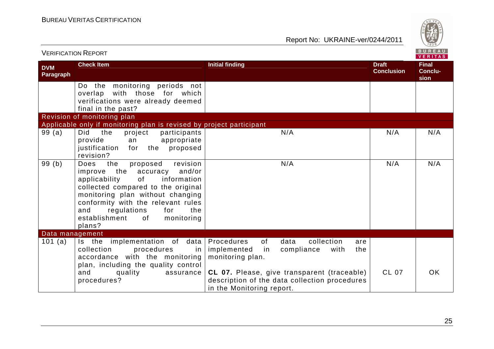

| <b>VERIFICATION REPORT</b> |                                                                                                                                                                                                                                                                                                             |                                                                                                                                                                                                                                                  |                                   | <b>BUREAU</b><br><b>VERITAS</b> |
|----------------------------|-------------------------------------------------------------------------------------------------------------------------------------------------------------------------------------------------------------------------------------------------------------------------------------------------------------|--------------------------------------------------------------------------------------------------------------------------------------------------------------------------------------------------------------------------------------------------|-----------------------------------|---------------------------------|
| <b>DVM</b><br>Paragraph    | <b>Check Item</b>                                                                                                                                                                                                                                                                                           | <b>Initial finding</b>                                                                                                                                                                                                                           | <b>Draft</b><br><b>Conclusion</b> | <b>Final</b><br>Conclu-<br>sion |
|                            | Do the monitoring periods not<br>overlap with those for which<br>verifications were already deemed<br>final in the past?                                                                                                                                                                                    |                                                                                                                                                                                                                                                  |                                   |                                 |
|                            | Revision of monitoring plan                                                                                                                                                                                                                                                                                 |                                                                                                                                                                                                                                                  |                                   |                                 |
|                            | Applicable only if monitoring plan is revised by project participant                                                                                                                                                                                                                                        |                                                                                                                                                                                                                                                  |                                   |                                 |
| 99(a)                      | Did<br>project<br>the<br>participants<br>provide<br>appropriate<br>an<br>justification<br>the<br>proposed<br>for<br>revision?                                                                                                                                                                               | N/A                                                                                                                                                                                                                                              | N/A                               | N/A                             |
| 99(b)                      | revision<br>Does<br>the<br>proposed<br>improve the accuracy and/or<br>of<br>applicability<br>information<br>collected compared to the original<br>monitoring plan without changing<br>conformity with the relevant rules<br>regulations<br>and<br>for<br>the<br>establishment<br>monitoring<br>of<br>plans? | N/A                                                                                                                                                                                                                                              | N/A                               | N/A                             |
| Data management            |                                                                                                                                                                                                                                                                                                             |                                                                                                                                                                                                                                                  |                                   |                                 |
| 101 (a)                    | Is the implementation of data<br>procedures<br>collection<br>in<br>accordance with the monitoring<br>plan, including the quality control<br>and<br>quality<br>assurance<br>procedures?                                                                                                                      | collection<br>Procedures<br>of<br>data<br>are<br>implemented<br>compliance<br>with<br>the<br>in<br>monitoring plan.<br>CL 07. Please, give transparent (traceable)<br>description of the data collection procedures<br>in the Monitoring report. | <b>CL 07</b>                      | <b>OK</b>                       |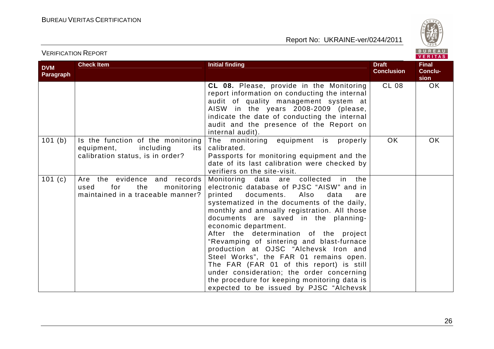BUREAU

|                         |                                                                                                           |                                                                                                                                                                                                                                                                                                                                                                                                                                                                                                                                                                                                                                                                |                                   | VERITAS                         |
|-------------------------|-----------------------------------------------------------------------------------------------------------|----------------------------------------------------------------------------------------------------------------------------------------------------------------------------------------------------------------------------------------------------------------------------------------------------------------------------------------------------------------------------------------------------------------------------------------------------------------------------------------------------------------------------------------------------------------------------------------------------------------------------------------------------------------|-----------------------------------|---------------------------------|
| <b>DVM</b><br>Paragraph | <b>Check Item</b>                                                                                         | <b>Initial finding</b>                                                                                                                                                                                                                                                                                                                                                                                                                                                                                                                                                                                                                                         | <b>Draft</b><br><b>Conclusion</b> | <b>Final</b><br>Conclu-<br>sion |
|                         |                                                                                                           | CL 08. Please, provide in the Monitoring<br>report information on conducting the internal<br>audit of quality management system at<br>AISW in the years 2008-2009 (please,<br>indicate the date of conducting the internal<br>audit and the presence of the Report on<br>internal audit).                                                                                                                                                                                                                                                                                                                                                                      | <b>CL 08</b>                      | OK.                             |
| 101(b)                  | Is the function of the monitoring<br>equipment,<br>including<br>its  <br>calibration status, is in order? | The monitoring equipment is<br>properly<br>calibrated.<br>Passports for monitoring equipment and the<br>date of its last calibration were checked by<br>verifiers on the site-visit.                                                                                                                                                                                                                                                                                                                                                                                                                                                                           | <b>OK</b>                         | OK                              |
| 101(c)                  | Are the evidence and records<br>for<br>the<br>monitoring<br>used<br>maintained in a traceable manner?     | Monitoring data are collected in the<br>electronic database of PJSC "AISW" and in<br>Also<br>printed<br>documents.<br>data<br>are<br>systematized in the documents of the daily,<br>monthly and annually registration. All those<br>documents are saved in the planning-<br>economic department.<br>After the determination of the project<br>"Revamping of sintering and blast-furnace<br>production at OJSC "Alchevsk Iron and<br>Steel Works", the FAR 01 remains open.<br>The FAR (FAR 01 of this report) is still<br>under consideration; the order concerning<br>the procedure for keeping monitoring data is<br>expected to be issued by PJSC "Alchevsk |                                   |                                 |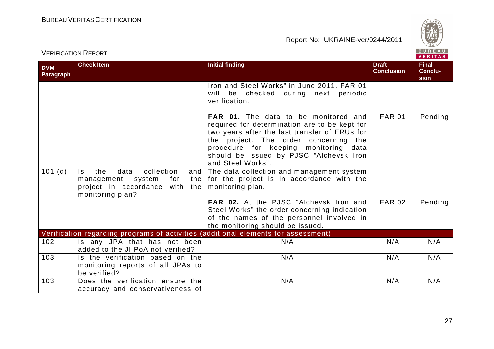

|                                |                                                                                                                                     |                                                                                                                                                                                                                                                                                                 |                                   | VERIIAS                         |  |
|--------------------------------|-------------------------------------------------------------------------------------------------------------------------------------|-------------------------------------------------------------------------------------------------------------------------------------------------------------------------------------------------------------------------------------------------------------------------------------------------|-----------------------------------|---------------------------------|--|
| <b>DVM</b><br><b>Paragraph</b> | <b>Check Item</b>                                                                                                                   | <b>Initial finding</b>                                                                                                                                                                                                                                                                          | <b>Draft</b><br><b>Conclusion</b> | <b>Final</b><br>Conclu-<br>sion |  |
|                                |                                                                                                                                     | Iron and Steel Works" in June 2011. FAR 01<br>will<br>be checked during next periodic<br>verification.                                                                                                                                                                                          |                                   |                                 |  |
|                                |                                                                                                                                     | <b>FAR 01.</b> The data to be monitored and<br>required for determination are to be kept for<br>two years after the last transfer of ERUs for<br>the project. The order concerning the<br>procedure for keeping monitoring data<br>should be issued by PJSC "Alchevsk Iron<br>and Steel Works". | <b>FAR 01</b>                     | Pending                         |  |
| 101(d)                         | collection<br>the<br>data<br>ls.<br>and<br>management<br>system<br>for<br>the<br>project in accordance with the<br>monitoring plan? | The data collection and management system<br>for the project is in accordance with the<br>monitoring plan.<br>FAR 02. At the PJSC "Alchevsk Iron and<br>Steel Works" the order concerning indication<br>of the names of the personnel involved in                                               | <b>FAR 02</b>                     | Pending                         |  |
|                                | Verification regarding programs of activities (additional elements for assessment)                                                  | the monitoring should be issued.                                                                                                                                                                                                                                                                |                                   |                                 |  |
| 102                            | Is any JPA that has not been                                                                                                        | N/A                                                                                                                                                                                                                                                                                             | N/A                               | N/A                             |  |
|                                | added to the JI PoA not verified?                                                                                                   |                                                                                                                                                                                                                                                                                                 |                                   |                                 |  |
| 103                            | Is the verification based on the<br>monitoring reports of all JPAs to<br>be verified?                                               | N/A                                                                                                                                                                                                                                                                                             | N/A                               | N/A                             |  |
| 103                            | Does the verification ensure the<br>accuracy and conservativeness of                                                                | N/A                                                                                                                                                                                                                                                                                             | N/A                               | N/A                             |  |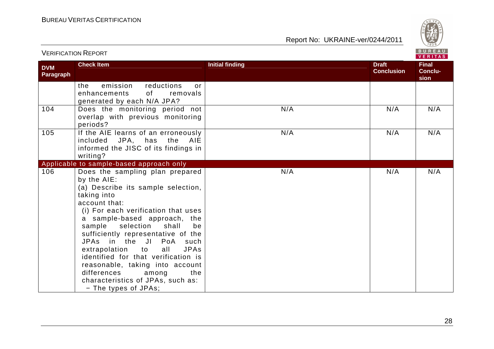

|                         | <u>VLINII IUATIUIVI INLEUINI</u>                                                                                                                                                                                                                                                                                                                                                                                                                                                                                      |                                                             | VERITAS                         |
|-------------------------|-----------------------------------------------------------------------------------------------------------------------------------------------------------------------------------------------------------------------------------------------------------------------------------------------------------------------------------------------------------------------------------------------------------------------------------------------------------------------------------------------------------------------|-------------------------------------------------------------|---------------------------------|
| <b>DVM</b><br>Paragraph | <b>Check Item</b>                                                                                                                                                                                                                                                                                                                                                                                                                                                                                                     | <b>Initial finding</b><br><b>Draft</b><br><b>Conclusion</b> | <b>Final</b><br>Conclu-<br>sion |
|                         | reductions<br>emission<br>the<br>or<br>enhancements<br>of<br>removals<br>generated by each N/A JPA?                                                                                                                                                                                                                                                                                                                                                                                                                   |                                                             |                                 |
| 104                     | Does the monitoring period not<br>overlap with previous monitoring<br>periods?                                                                                                                                                                                                                                                                                                                                                                                                                                        | N/A<br>N/A                                                  | N/A                             |
| 105                     | If the AIE learns of an erroneously<br>included JPA, has the<br>AIE<br>informed the JISC of its findings in<br>writing?                                                                                                                                                                                                                                                                                                                                                                                               | N/A<br>N/A                                                  | N/A                             |
|                         | Applicable to sample-based approach only                                                                                                                                                                                                                                                                                                                                                                                                                                                                              |                                                             |                                 |
| 106                     | Does the sampling plan prepared<br>by the AIE:<br>(a) Describe its sample selection,<br>taking into<br>account that:<br>(i) For each verification that uses<br>a sample-based approach, the<br>selection<br>sample<br>shall<br>be<br>sufficiently representative of the<br>JPAs in the JI PoA<br>such<br>extrapolation to<br><b>JPAs</b><br>all<br>identified for that verification is<br>reasonable, taking into account<br>differences<br>among<br>the<br>characteristics of JPAs, such as:<br>- The types of JPAs; | N/A<br>N/A                                                  | N/A                             |

VERIFICATION REPORT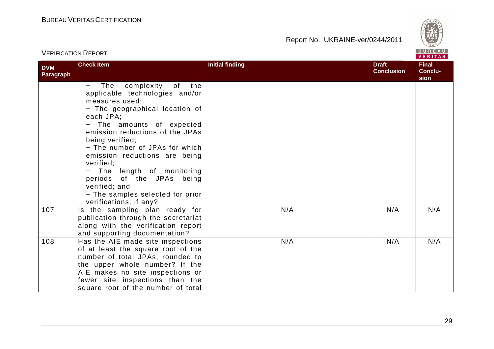

| VERILIVATIVIV INLI VINT |                                                                                                                                                                                                                                                                                                                                                                                                                                            |                                                             |                                 |
|-------------------------|--------------------------------------------------------------------------------------------------------------------------------------------------------------------------------------------------------------------------------------------------------------------------------------------------------------------------------------------------------------------------------------------------------------------------------------------|-------------------------------------------------------------|---------------------------------|
| <b>DVM</b><br>Paragraph | <b>Check Item</b>                                                                                                                                                                                                                                                                                                                                                                                                                          | <b>Initial finding</b><br><b>Draft</b><br><b>Conclusion</b> | <b>Final</b><br>Conclu-<br>sion |
|                         | The<br>complexity<br>of<br>the<br>applicable technologies and/or<br>measures used;<br>- The geographical location of<br>each JPA;<br>The amounts of expected<br>emission reductions of the JPAs<br>being verified;<br>- The number of JPAs for which<br>emission reductions are being<br>verified:<br>The length of monitoring<br>periods of the JPAs being<br>verified; and<br>- The samples selected for prior<br>verifications, if any? |                                                             |                                 |
| 107                     | Is the sampling plan ready for<br>publication through the secretariat<br>along with the verification report<br>and supporting documentation?                                                                                                                                                                                                                                                                                               | N/A<br>N/A                                                  | N/A                             |
| 108                     | Has the AIE made site inspections<br>of at least the square root of the<br>number of total JPAs, rounded to<br>the upper whole number? If the<br>AIE makes no site inspections or<br>fewer site inspections than the<br>square root of the number of total                                                                                                                                                                                 | N/A<br>N/A                                                  | N/A                             |

VERIFICATION REPORT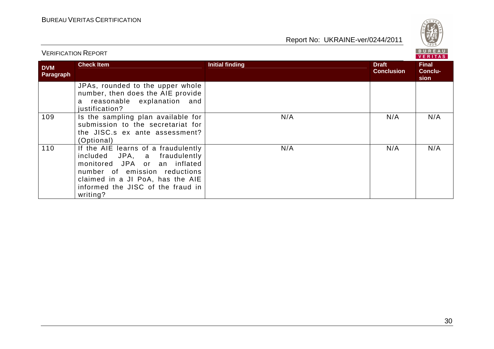

| BUREAU<br><b>VERIFICATION REPORT</b><br><b>VERITAS</b> |                                                                                                                                                                                                                           |                        |                                   |                                        |
|--------------------------------------------------------|---------------------------------------------------------------------------------------------------------------------------------------------------------------------------------------------------------------------------|------------------------|-----------------------------------|----------------------------------------|
| <b>DVM</b><br>Paragraph                                | <b>Check Item</b>                                                                                                                                                                                                         | <b>Initial finding</b> | <b>Draft</b><br><b>Conclusion</b> | <b>Final</b><br><b>Conclu-</b><br>sion |
|                                                        | JPAs, rounded to the upper whole<br>number, then does the AIE provide<br>reasonable explanation and<br>a<br>justification?                                                                                                |                        |                                   |                                        |
| 109                                                    | Is the sampling plan available for<br>submission to the secretariat for<br>the JISC.s ex ante assessment?<br>(Optional)                                                                                                   | N/A                    | N/A                               | N/A                                    |
| 110                                                    | If the AIE learns of a fraudulently<br>included JPA, a fraudulently<br>monitored JPA or an inflated<br>number of emission reductions<br>claimed in a JI PoA, has the AIE<br>informed the JISC of the fraud in<br>writing? | N/A                    | N/A                               | N/A                                    |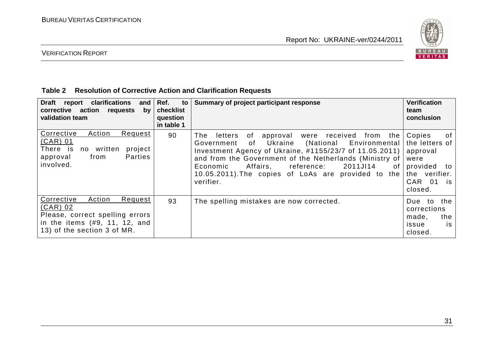

# VERIFICATION REPORT

#### **Table 2 Resolution of Corrective Action and Clarification Requests**

| <b>Draft</b><br>report clarifications<br>and<br>corrective action<br>requests<br>by<br>validation team                                         | Ref.<br>to<br>checklist<br>question<br>in table 1 | Summary of project participant response                                                                                                                                                                                                                                                                                                                             | <b>Verification</b><br>team<br>conclusion                                                                            |
|------------------------------------------------------------------------------------------------------------------------------------------------|---------------------------------------------------|---------------------------------------------------------------------------------------------------------------------------------------------------------------------------------------------------------------------------------------------------------------------------------------------------------------------------------------------------------------------|----------------------------------------------------------------------------------------------------------------------|
| Action<br>Corrective<br>Request<br>$(CAR)$ 01<br>There is<br>written<br>project<br>no<br><b>Parties</b><br>from<br>approval<br>involved.       | 90                                                | approval were received<br>The<br>letters<br>of<br>from the<br>Ukraine<br>(National Environmental<br>Government<br>of<br>Investment Agency of Ukraine, #1155/23/7 of 11.05.2011)<br>and from the Government of the Netherlands (Ministry of<br>Affairs, reference:<br>2011JI14<br>Economic<br>0f<br>10.05.2011). The copies of LoAs are provided to the<br>verifier. | Copies<br>0f<br>the letters of<br>approval<br>were<br>provided to<br>the verifier.<br>CAR 01<br><b>is</b><br>closed. |
| Action<br>Corrective<br>Request<br>(CAR) 02<br>Please, correct spelling errors<br>in the items (#9, 11, 12, and<br>13) of the section 3 of MR. | 93                                                | The spelling mistakes are now corrected.                                                                                                                                                                                                                                                                                                                            | Due to the<br>corrections<br>made,<br>the<br>issue<br>is.<br>closed.                                                 |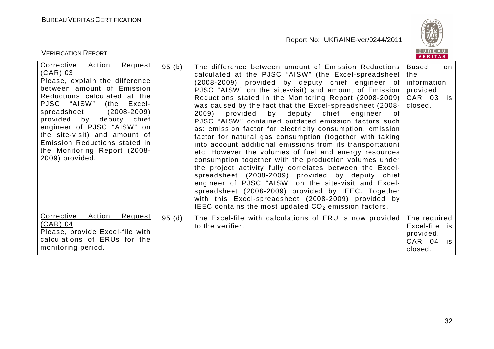

| <b>VERIFICATION REPORT</b>                                                                                                                                                                                                                                                                                                                                                                        |       |                                                                                                                                                                                                                                                                                                                                                                                                                                                                                                                                                                                                                                                                                                                                                                                                                                                                                                                                                                                                                                                                                                                           | B U K E A U  <br><b>VERITAS</b>                                                  |
|---------------------------------------------------------------------------------------------------------------------------------------------------------------------------------------------------------------------------------------------------------------------------------------------------------------------------------------------------------------------------------------------------|-------|---------------------------------------------------------------------------------------------------------------------------------------------------------------------------------------------------------------------------------------------------------------------------------------------------------------------------------------------------------------------------------------------------------------------------------------------------------------------------------------------------------------------------------------------------------------------------------------------------------------------------------------------------------------------------------------------------------------------------------------------------------------------------------------------------------------------------------------------------------------------------------------------------------------------------------------------------------------------------------------------------------------------------------------------------------------------------------------------------------------------------|----------------------------------------------------------------------------------|
| Corrective<br><b>Action</b><br>Request<br>(CAR) 03<br>Please, explain the difference<br>between amount of Emission<br>Reductions calculated at the<br>PJSC "AISW"<br>(the Excel-<br>$(2008 - 2009)$<br>spreadsheet<br>provided by deputy chief<br>engineer of PJSC "AISW" on<br>the site-visit) and amount of<br>Emission Reductions stated in<br>the Monitoring Report (2008-<br>2009) provided. | 95(b) | The difference between amount of Emission Reductions<br>calculated at the PJSC "AISW" (the Excel-spreadsheet<br>(2008-2009) provided by deputy chief engineer of<br>PJSC "AISW" on the site-visit) and amount of Emission<br>Reductions stated in the Monitoring Report (2008-2009)<br>was caused by the fact that the Excel-spreadsheet (2008-<br>2009)<br>provided by deputy chief<br>engineer<br>of o<br>PJSC "AISW" contained outdated emission factors such<br>as: emission factor for electricity consumption, emission<br>factor for natural gas consumption (together with taking<br>into account additional emissions from its transportation)<br>etc. However the volumes of fuel and energy resources<br>consumption together with the production volumes under<br>the project activity fully correlates between the Excel-<br>spreadsheet (2008-2009) provided by deputy chief<br>engineer of PJSC "AISW" on the site-visit and Excel-<br>spreadsheet (2008-2009) provided by IEEC. Together<br>with this Excel-spreadsheet (2008-2009) provided by<br>IEEC contains the most updated $CO2$ emission factors. | <b>Based</b><br>on<br>the<br>information<br>provided,<br>CAR 03<br>is<br>closed. |
| Corrective<br><b>Action</b><br><u>Request</u><br>$(CAR)$ 04<br>Please, provide Excel-file with<br>calculations of ERUs for the<br>monitoring period.                                                                                                                                                                                                                                              | 95(d) | The Excel-file with calculations of ERU is now provided<br>to the verifier.                                                                                                                                                                                                                                                                                                                                                                                                                                                                                                                                                                                                                                                                                                                                                                                                                                                                                                                                                                                                                                               | The required<br>Excel-file is<br>provided.<br>CAR 04<br>is<br>closed.            |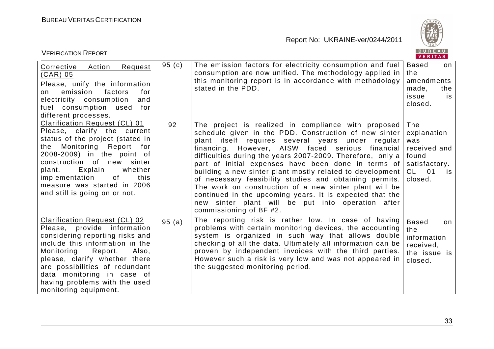

| <b>VERIFICATION REPORT</b>                                                                                                                                                                                                                                                                                                             |          |                                                                                                                                                                                                                                                                                                                                                                                                                                                                                                                                                                                                                                                                          | B U K E A U  <br>VERITAS                                                                        |
|----------------------------------------------------------------------------------------------------------------------------------------------------------------------------------------------------------------------------------------------------------------------------------------------------------------------------------------|----------|--------------------------------------------------------------------------------------------------------------------------------------------------------------------------------------------------------------------------------------------------------------------------------------------------------------------------------------------------------------------------------------------------------------------------------------------------------------------------------------------------------------------------------------------------------------------------------------------------------------------------------------------------------------------------|-------------------------------------------------------------------------------------------------|
| Corrective Action<br>Request<br><u>(CAR) 05</u><br>Please, unify the information<br>emission<br>factors<br>for<br>on<br>electricity consumption<br>and<br>fuel consumption used<br>for<br>different processes.                                                                                                                         | 95 $(c)$ | The emission factors for electricity consumption and fuel<br>consumption are now unified. The methodology applied in<br>this monitoring report is in accordance with methodology<br>stated in the PDD.                                                                                                                                                                                                                                                                                                                                                                                                                                                                   | <b>Based</b><br>on<br>the<br>amendments<br>made,<br>the<br>issue<br>is<br>closed.               |
| <b>Clarification Request (CL) 01</b><br>Please, clarify the current<br>status of the project (stated in<br>Monitoring Report for<br>the<br>2008-2009) in the point of<br>construction of new sinter<br>Explain<br>whether<br>plant.<br>this<br>implementation<br>of<br>measure was started in 2006<br>and still is going on or not.    | 92       | The project is realized in compliance with proposed<br>schedule given in the PDD. Construction of new sinter<br>plant itself requires several years under regular<br>financing. However, AISW faced serious financial<br>difficulties during the years 2007-2009. Therefore, only a<br>part of initial expenses have been done in terms of<br>building a new sinter plant mostly related to development<br>of necessary feasibility studies and obtaining permits.<br>The work on construction of a new sinter plant will be<br>continued in the upcoming years. It is expected that the<br>new sinter plant will be put into operation after<br>commissioning of BF #2. | The<br>explanation<br>was<br>received and<br>found<br>satisfactory.<br>$CL$ 01<br>is<br>closed. |
| <b>Clarification Request (CL) 02</b><br>Please, provide information<br>considering reporting risks and<br>include this information in the<br>Monitoring<br>Report.<br>Also,<br>please, clarify whether there<br>are possibilities of redundant<br>data monitoring in case of<br>having problems with the used<br>monitoring equipment. | 95(a)    | The reporting risk is rather low. In case of having<br>problems with certain monitoring devices, the accounting<br>system is organized in such way that allows double<br>checking of all the data. Ultimately all information can be<br>proven by independent invoices with the third parties.<br>However such a risk is very low and was not appeared in<br>the suggested monitoring period.                                                                                                                                                                                                                                                                            | <b>Based</b><br>on<br>the<br>information<br>received,<br>the issue is<br>closed.                |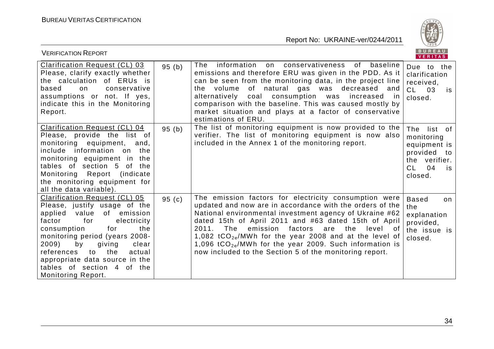

| <b>VERIFICATION REPORT</b>                                                                                                                                                                                                                                                                                                                                              |          |                                                                                                                                                                                                                                                                                                                                                                                                                                                                                                       | BUREAU<br>VERITAS                                                                                           |
|-------------------------------------------------------------------------------------------------------------------------------------------------------------------------------------------------------------------------------------------------------------------------------------------------------------------------------------------------------------------------|----------|-------------------------------------------------------------------------------------------------------------------------------------------------------------------------------------------------------------------------------------------------------------------------------------------------------------------------------------------------------------------------------------------------------------------------------------------------------------------------------------------------------|-------------------------------------------------------------------------------------------------------------|
| <b>Clarification Request (CL) 03</b><br>Please, clarify exactly whether<br>the calculation of ERUs is<br>based<br>conservative<br>on<br>assumptions or not. If yes,<br>indicate this in the Monitoring<br>Report.                                                                                                                                                       | 95(b)    | The<br>information<br>on conservativeness of<br>baseline<br>emissions and therefore ERU was given in the PDD. As it<br>can be seen from the monitoring data, in the project line<br>the volume of natural gas was decreased and<br>alternatively coal consumption was<br>increased<br>-in<br>comparison with the baseline. This was caused mostly by<br>market situation and plays at a factor of conservative<br>estimations of ERU.                                                                 | Due to the<br>clarification<br>received,<br>$CL$ 03<br>is<br>closed.                                        |
| <b>Clarification Request (CL) 04</b><br>Please, provide the list of<br>monitoring equipment,<br>and,<br>include information on the<br>monitoring equipment in the<br>tables of section 5 of the<br>Monitoring Report (indicate<br>the monitoring equipment for<br>all the data variable).                                                                               | 95(b)    | The list of monitoring equipment is now provided to the<br>verifier. The list of monitoring equipment is now also<br>included in the Annex 1 of the monitoring report.                                                                                                                                                                                                                                                                                                                                | The<br>list of<br>monitoring<br>equipment is<br>provided to<br>the verifier.<br>CL.<br>04<br>is.<br>closed. |
| <b>Clarification Request (CL) 05</b><br>Please, justify usage of the<br>applied value<br>of emission<br>for<br>factor<br>electricity<br>for<br>consumption<br>the<br>monitoring period (years 2008-<br>by<br>2009)<br>clear<br>giving<br>the<br>to<br>actual<br>references<br>appropriate data source in the<br>tables of section 4 of the<br><b>Monitoring Report.</b> | 95 $(c)$ | The emission factors for electricity consumption were<br>updated and now are in accordance with the orders of the<br>National environmental investment agency of Ukraine #62<br>dated 15th of April 2011 and #63 dated 15th of April<br>2011.<br>The<br>emission<br>factors<br>the<br>level of<br>are<br>1,082 tCO <sub>2e</sub> /MWh for the year 2008 and at the level of<br>1,096 $tCO_{2e}/MWh$ for the year 2009. Such information is<br>now included to the Section 5 of the monitoring report. | <b>Based</b><br>on<br>the<br>explanation<br>provided,<br>the issue is<br>closed.                            |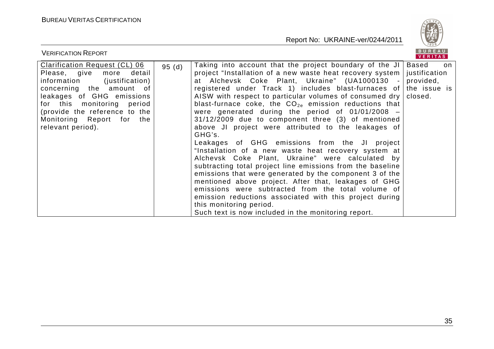

| <b>VERIFICATION REPORT</b>                                                                                                                                                                                                                                                             |       |                                                                                                                                                                                                                                                                                                                                                                                                                                                                                                                                                                                                                                                                                                                                                                                                                                                                                                                                                                                                                                                                                                                                       | BUREAU<br>VERITAS |  |
|----------------------------------------------------------------------------------------------------------------------------------------------------------------------------------------------------------------------------------------------------------------------------------------|-------|---------------------------------------------------------------------------------------------------------------------------------------------------------------------------------------------------------------------------------------------------------------------------------------------------------------------------------------------------------------------------------------------------------------------------------------------------------------------------------------------------------------------------------------------------------------------------------------------------------------------------------------------------------------------------------------------------------------------------------------------------------------------------------------------------------------------------------------------------------------------------------------------------------------------------------------------------------------------------------------------------------------------------------------------------------------------------------------------------------------------------------------|-------------------|--|
| <b>Clarification Request (CL) 06</b><br>detail<br>Please, give<br>more<br>information<br>(justification)<br>concerning the amount of<br>leakages of GHG emissions<br>for this monitoring period<br>(provide the reference to the $ $<br>Monitoring Report for the<br>relevant period). | 95(d) | Taking into account that the project boundary of the JI   Based<br>project "Installation of a new waste heat recovery system   justification<br>at Alchevsk Coke Plant, Ukraine" (UA1000130 -<br>registered under Track 1) includes blast-furnaces of the issue is<br>AISW with respect to particular volumes of consumed dry $ $ closed.<br>blast-furnace coke, the $CO_{2e}$ emission reductions that<br>were generated during the period of $01/01/2008$ –<br>31/12/2009 due to component three (3) of mentioned<br>above JI project were attributed to the leakages of<br>GHG's.<br>Leakages of GHG emissions from the JI project<br>"Installation of a new waste heat recovery system at<br>Alchevsk Coke Plant, Ukraine" were calculated by<br>subtracting total project line emissions from the baseline<br>emissions that were generated by the component 3 of the<br>mentioned above project. After that, leakages of GHG<br>emissions were subtracted from the total volume of<br>emission reductions associated with this project during<br>this monitoring period.<br>Such text is now included in the monitoring report. | on<br>provided,   |  |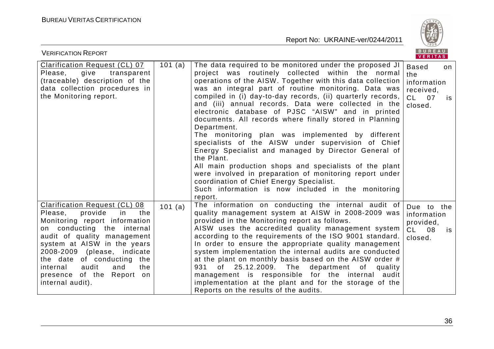

| <b>VERIFICATION REPORT</b>                                                                                                                                                                                                                                                                                                                            |           |                                                                                                                                                                                                                                                                                                                                                                                                                                                                                                                                                                                                                                                                                                                                                                                                                                                                                                            | BUREAU<br><b>VERITAS</b>                                            |          |
|-------------------------------------------------------------------------------------------------------------------------------------------------------------------------------------------------------------------------------------------------------------------------------------------------------------------------------------------------------|-----------|------------------------------------------------------------------------------------------------------------------------------------------------------------------------------------------------------------------------------------------------------------------------------------------------------------------------------------------------------------------------------------------------------------------------------------------------------------------------------------------------------------------------------------------------------------------------------------------------------------------------------------------------------------------------------------------------------------------------------------------------------------------------------------------------------------------------------------------------------------------------------------------------------------|---------------------------------------------------------------------|----------|
| <b>Clarification Request (CL) 07</b><br>give<br>transparent<br>Please,<br>(traceable) description of the<br>data collection procedures in<br>the Monitoring report.                                                                                                                                                                                   | 101 $(a)$ | The data required to be monitored under the proposed JI<br>project was routinely collected within the normal<br>operations of the AISW. Together with this data collection<br>was an integral part of routine monitoring. Data was<br>compiled in (i) day-to-day records, (ii) quarterly records,<br>and (iii) annual records. Data were collected in the<br>electronic database of PJSC "AISW" and in printed<br>documents. All records where finally stored in Planning<br>Department.<br>The monitoring plan was implemented by different<br>specialists of the AISW under supervision of Chief<br>Energy Specialist and managed by Director General of<br>the Plant.<br>All main production shops and specialists of the plant<br>were involved in preparation of monitoring report under<br>coordination of Chief Energy Specialist.<br>Such information is now included in the monitoring<br>report. | <b>Based</b><br>the<br>information<br>received,<br>CL 07<br>closed. | on<br>is |
| <b>Clarification Request (CL) 08</b><br>provide<br>the<br>Please,<br>in<br>Monitoring report information<br>on conducting the internal<br>audit of quality management<br>system at AISW in the years<br>2008-2009 (please, indicate<br>the date of conducting the<br>audit<br>internal<br>and<br>the<br>presence of the Report on<br>internal audit). | 101 (a)   | The information on conducting the internal audit of<br>quality management system at AISW in 2008-2009 was<br>provided in the Monitoring report as follows.<br>AISW uses the accredited quality management system<br>according to the requirements of the ISO 9001 standard.<br>In order to ensure the appropriate quality management<br>system implementation the internal audits are conducted<br>at the plant on monthly basis based on the AISW order #<br>of 25.12.2009. The department of<br>931<br>quality<br>management is responsible for the internal audit<br>implementation at the plant and for the storage of the<br>Reports on the results of the audits.                                                                                                                                                                                                                                    | Due to the<br>information<br>provided,<br>$CL$ 08<br>closed.        | is       |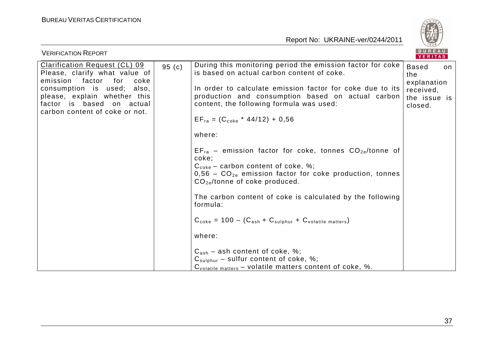

| <b>VERIFICATION REPORT</b>                                                                                                                                                                                                       |       |                                                                                                                                                                                                                                                                                                                                                                                                                                                                                                                                                                                                                                                                                                                                                                                                                                                | B U R E A U<br>VERITAS                                                     |     |
|----------------------------------------------------------------------------------------------------------------------------------------------------------------------------------------------------------------------------------|-------|------------------------------------------------------------------------------------------------------------------------------------------------------------------------------------------------------------------------------------------------------------------------------------------------------------------------------------------------------------------------------------------------------------------------------------------------------------------------------------------------------------------------------------------------------------------------------------------------------------------------------------------------------------------------------------------------------------------------------------------------------------------------------------------------------------------------------------------------|----------------------------------------------------------------------------|-----|
| Clarification Request (CL) 09<br>Please, clarify what value of<br>emission<br>factor<br>for<br>coke<br>consumption is used; also,<br>please, explain whether this<br>factor is based on actual<br>carbon content of coke or not. | 95(c) | During this monitoring period the emission factor for coke<br>is based on actual carbon content of coke.<br>In order to calculate emission factor for coke due to its<br>production and consumption based on actual carbon<br>content, the following formula was used:<br>$EF_{ra} = (C_{coke} * 44/12) + 0.56$<br>where:<br>$EF_{ra}$ – emission factor for coke, tonnes $CO_{2e}/t$ onne of<br>coke;<br>$C_{\text{coke}}$ – carbon content of coke, %;<br>$0.56$ – $CO_{2e}$ emission factor for coke production, tonnes<br>$CO_{2e}/$ tonne of coke produced.<br>The carbon content of coke is calculated by the following<br>formula:<br>$C_{\text{code}} = 100 - (C_{\text{ash}} + C_{\text{subhur}} + C_{\text{volatile matters}})$<br>where:<br>$C_{ash}$ – ash content of coke, %;<br>$C_{\text{subhur}}$ – sulfur content of coke, %; | <b>Based</b><br>the<br>explanation<br>received,<br>the issue is<br>closed. | on. |
|                                                                                                                                                                                                                                  |       | $C_{\text{volatile matters}}$ – volatile matters content of coke, %.                                                                                                                                                                                                                                                                                                                                                                                                                                                                                                                                                                                                                                                                                                                                                                           |                                                                            |     |